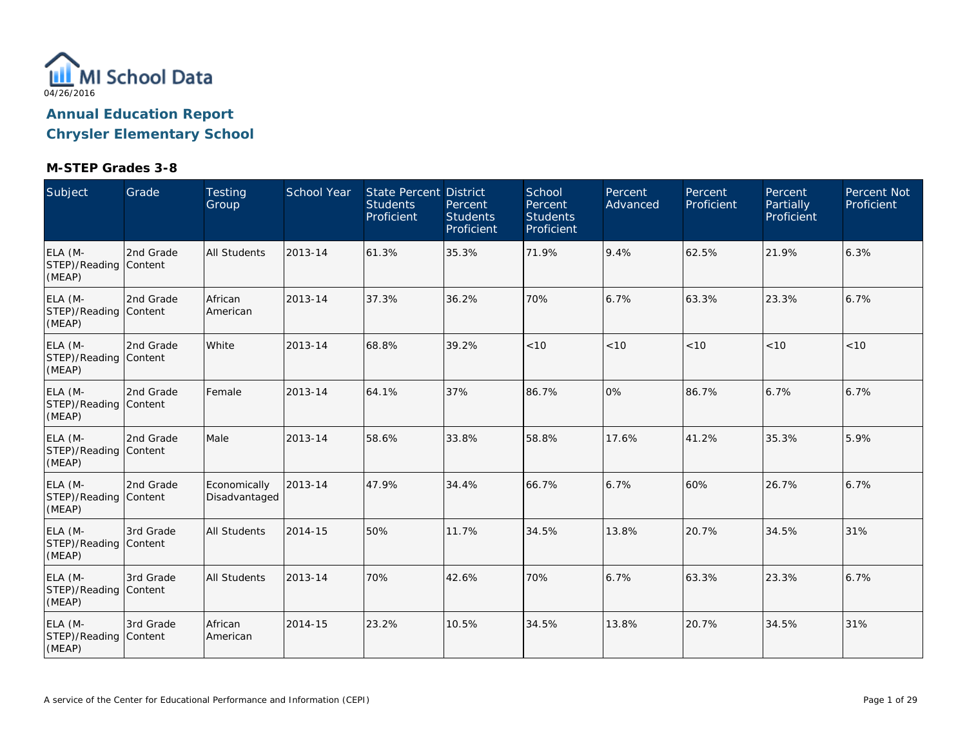

| Subject                                    | Grade     | <b>Testing</b><br>Group       | School Year | <b>State Percent District</b><br><b>Students</b><br>Proficient | Percent<br><b>Students</b><br>Proficient | School<br>Percent<br><b>Students</b><br>Proficient | Percent<br>Advanced | Percent<br>Proficient | Percent<br><b>Partially</b><br>Proficient | <b>Percent Not</b><br>Proficient |
|--------------------------------------------|-----------|-------------------------------|-------------|----------------------------------------------------------------|------------------------------------------|----------------------------------------------------|---------------------|-----------------------|-------------------------------------------|----------------------------------|
| ELA (M-<br>STEP)/Reading Content<br>(MEAP) | 2nd Grade | <b>All Students</b>           | 2013-14     | 61.3%                                                          | 35.3%                                    | 71.9%                                              | 9.4%                | 62.5%                 | 21.9%                                     | 6.3%                             |
| ELA (M-<br>STEP)/Reading Content<br>(MEAP) | 2nd Grade | African<br>American           | 2013-14     | 37.3%                                                          | 36.2%                                    | 70%                                                | 6.7%                | 63.3%                 | 23.3%                                     | 6.7%                             |
| ELA (M-<br>STEP)/Reading Content<br>(MEAP) | 2nd Grade | White                         | 2013-14     | 68.8%                                                          | 39.2%                                    | < 10                                               | < 10                | < 10                  | < 10                                      | < 10                             |
| ELA (M-<br>STEP)/Reading Content<br>(MEAP) | 2nd Grade | Female                        | 2013-14     | 64.1%                                                          | 37%                                      | 86.7%                                              | 0%                  | 86.7%                 | 6.7%                                      | 6.7%                             |
| ELA (M-<br>STEP)/Reading Content<br>(MEAP) | 2nd Grade | Male                          | 2013-14     | 58.6%                                                          | 33.8%                                    | 58.8%                                              | 17.6%               | 41.2%                 | 35.3%                                     | 5.9%                             |
| ELA (M-<br>STEP)/Reading Content<br>(MEAP) | 2nd Grade | Economically<br>Disadvantaged | 2013-14     | 47.9%                                                          | 34.4%                                    | 66.7%                                              | 6.7%                | 60%                   | 26.7%                                     | 6.7%                             |
| ELA (M-<br>STEP)/Reading Content<br>(MEAP) | 3rd Grade | <b>All Students</b>           | 2014-15     | 50%                                                            | 11.7%                                    | 34.5%                                              | 13.8%               | 20.7%                 | 34.5%                                     | 31%                              |
| ELA (M-<br>STEP)/Reading Content<br>(MEAP) | 3rd Grade | <b>All Students</b>           | 2013-14     | 70%                                                            | 42.6%                                    | 70%                                                | 6.7%                | 63.3%                 | 23.3%                                     | 6.7%                             |
| ELA (M-<br>STEP)/Reading Content<br>(MEAP) | 3rd Grade | African<br>American           | 2014-15     | 23.2%                                                          | 10.5%                                    | 34.5%                                              | 13.8%               | 20.7%                 | 34.5%                                     | 31%                              |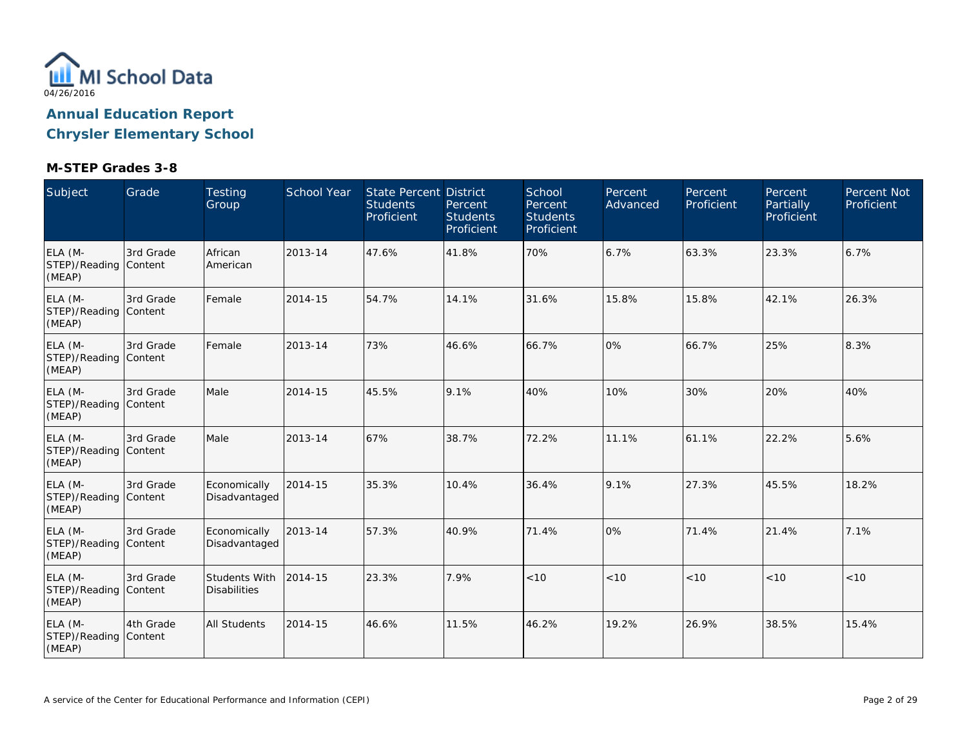

| Subject                                    | Grade     | <b>Testing</b><br>Group              | <b>School Year</b> | <b>State Percent District</b><br><b>Students</b><br>Proficient | Percent<br><b>Students</b><br>Proficient | School<br>Percent<br><b>Students</b><br>Proficient | Percent<br>Advanced | Percent<br>Proficient | Percent<br><b>Partially</b><br>Proficient | <b>Percent Not</b><br>Proficient |
|--------------------------------------------|-----------|--------------------------------------|--------------------|----------------------------------------------------------------|------------------------------------------|----------------------------------------------------|---------------------|-----------------------|-------------------------------------------|----------------------------------|
| ELA (M-<br>STEP)/Reading Content<br>(MEAP) | 3rd Grade | African<br>American                  | 2013-14            | 47.6%                                                          | 41.8%                                    | 70%                                                | 6.7%                | 63.3%                 | 23.3%                                     | 6.7%                             |
| ELA (M-<br>STEP)/Reading Content<br>(MEAP) | 3rd Grade | Female                               | 2014-15            | 54.7%                                                          | 14.1%                                    | 31.6%                                              | 15.8%               | 15.8%                 | 42.1%                                     | 26.3%                            |
| ELA (M-<br>STEP)/Reading Content<br>(MEAP) | 3rd Grade | Female                               | 2013-14            | 73%                                                            | 46.6%                                    | 66.7%                                              | 0%                  | 66.7%                 | 25%                                       | 8.3%                             |
| ELA (M-<br>STEP)/Reading Content<br>(MEAP) | 3rd Grade | Male                                 | 2014-15            | 45.5%                                                          | 9.1%                                     | 40%                                                | 10%                 | 30%                   | 20%                                       | 40%                              |
| ELA (M-<br>STEP)/Reading Content<br>(MEAP) | 3rd Grade | Male                                 | 2013-14            | 67%                                                            | 38.7%                                    | 72.2%                                              | 11.1%               | 61.1%                 | 22.2%                                     | 5.6%                             |
| ELA (M-<br>STEP)/Reading Content<br>(MEAP) | 3rd Grade | Economically<br>Disadvantaged        | 2014-15            | 35.3%                                                          | 10.4%                                    | 36.4%                                              | 9.1%                | 27.3%                 | 45.5%                                     | 18.2%                            |
| ELA (M-<br>STEP)/Reading Content<br>(MEAP) | 3rd Grade | Economically<br>Disadvantaged        | 2013-14            | 57.3%                                                          | 40.9%                                    | 71.4%                                              | 0%                  | 71.4%                 | 21.4%                                     | 7.1%                             |
| ELA (M-<br>STEP)/Reading Content<br>(MEAP) | 3rd Grade | Students With<br><b>Disabilities</b> | 2014-15            | 23.3%                                                          | 7.9%                                     | < 10                                               | < 10                | < 10                  | < 10                                      | < 10                             |
| ELA (M-<br>STEP)/Reading Content<br>(MEAP) | 4th Grade | <b>All Students</b>                  | 2014-15            | 46.6%                                                          | 11.5%                                    | 46.2%                                              | 19.2%               | 26.9%                 | 38.5%                                     | 15.4%                            |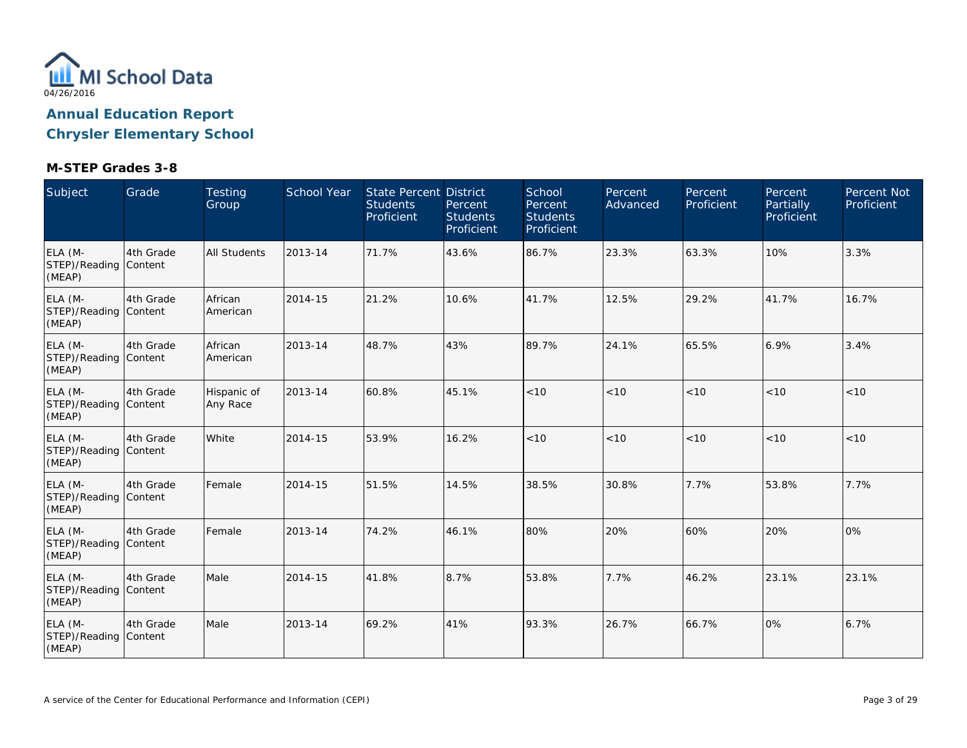

| Subject                                    | Grade     | Testing<br>Group        | <b>School Year</b> | <b>State Percent District</b><br><b>Students</b><br>Proficient | Percent<br><b>Students</b><br>Proficient | School<br>Percent<br><b>Students</b><br>Proficient | Percent<br>Advanced | Percent<br>Proficient | Percent<br><b>Partially</b><br>Proficient | Percent Not<br>Proficient |
|--------------------------------------------|-----------|-------------------------|--------------------|----------------------------------------------------------------|------------------------------------------|----------------------------------------------------|---------------------|-----------------------|-------------------------------------------|---------------------------|
| ELA (M-<br>STEP)/Reading Content<br>(MEAP) | 4th Grade | All Students            | 2013-14            | 71.7%                                                          | 43.6%                                    | 86.7%                                              | 23.3%               | 63.3%                 | 10%                                       | 3.3%                      |
| ELA (M-<br>STEP)/Reading Content<br>(MEAP) | 4th Grade | African<br>American     | 2014-15            | 21.2%                                                          | 10.6%                                    | 41.7%                                              | 12.5%               | 29.2%                 | 41.7%                                     | 16.7%                     |
| ELA (M-<br>STEP)/Reading Content<br>(MEAP) | 4th Grade | African<br>American     | 2013-14            | 48.7%                                                          | 43%                                      | 89.7%                                              | 24.1%               | 65.5%                 | 6.9%                                      | 3.4%                      |
| ELA (M-<br>STEP)/Reading Content<br>(MEAP) | 4th Grade | Hispanic of<br>Any Race | 2013-14            | 60.8%                                                          | 45.1%                                    | < 10                                               | < 10                | < 10                  | < 10                                      | < 10                      |
| ELA (M-<br>STEP)/Reading Content<br>(MEAP) | 4th Grade | White                   | 2014-15            | 53.9%                                                          | 16.2%                                    | < 10                                               | < 10                | < 10                  | < 10                                      | < 10                      |
| ELA (M-<br>STEP)/Reading Content<br>(MEAP) | 4th Grade | Female                  | 2014-15            | 51.5%                                                          | 14.5%                                    | 38.5%                                              | 30.8%               | 7.7%                  | 53.8%                                     | 7.7%                      |
| ELA (M-<br>STEP)/Reading Content<br>(MEAP) | 4th Grade | Female                  | 2013-14            | 74.2%                                                          | 46.1%                                    | 80%                                                | 20%                 | 60%                   | 20%                                       | 0%                        |
| ELA (M-<br>STEP)/Reading Content<br>(MEAP) | 4th Grade | Male                    | 2014-15            | 41.8%                                                          | 8.7%                                     | 53.8%                                              | 7.7%                | 46.2%                 | 23.1%                                     | 23.1%                     |
| ELA (M-<br>STEP)/Reading Content<br>(MEAP) | 4th Grade | Male                    | 2013-14            | 69.2%                                                          | 41%                                      | 93.3%                                              | 26.7%               | 66.7%                 | 0%                                        | 6.7%                      |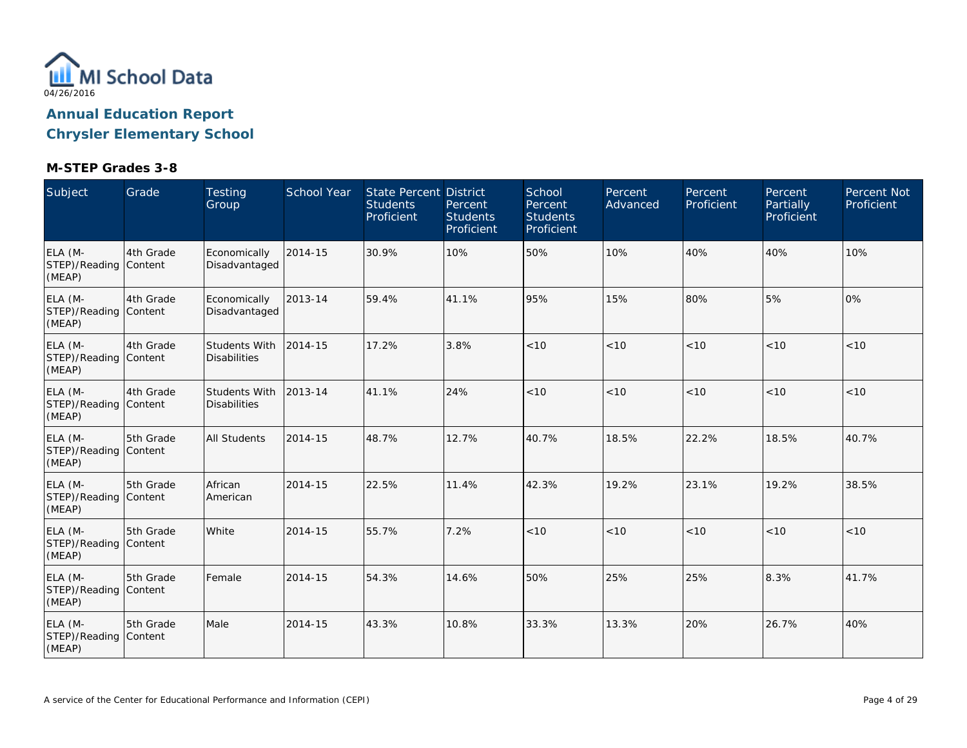

| Subject                                    | Grade     | <b>Testing</b><br>Group              | <b>School Year</b> | <b>State Percent District</b><br><b>Students</b><br>Proficient | Percent<br><b>Students</b><br>Proficient | School<br>Percent<br><b>Students</b><br>Proficient | Percent<br>Advanced | Percent<br>Proficient | Percent<br>Partially<br>Proficient | Percent Not<br>Proficient |
|--------------------------------------------|-----------|--------------------------------------|--------------------|----------------------------------------------------------------|------------------------------------------|----------------------------------------------------|---------------------|-----------------------|------------------------------------|---------------------------|
| ELA (M-<br>STEP)/Reading Content<br>(MEAP) | 4th Grade | Economically<br>Disadvantaged        | 2014-15            | 30.9%                                                          | 10%                                      | 50%                                                | 10%                 | 40%                   | 40%                                | 10%                       |
| ELA (M-<br>STEP)/Reading Content<br>(MEAP) | 4th Grade | Economically<br>Disadvantaged        | 2013-14            | 59.4%                                                          | 41.1%                                    | 95%                                                | 15%                 | 80%                   | 5%                                 | 0%                        |
| ELA (M-<br>STEP)/Reading Content<br>(MEAP) | 4th Grade | Students With<br><b>Disabilities</b> | 2014-15            | 17.2%                                                          | 3.8%                                     | < 10                                               | < 10                | < 10                  | < 10                               | < 10                      |
| ELA (M-<br>STEP)/Reading Content<br>(MEAP) | 4th Grade | Students With<br><b>Disabilities</b> | 2013-14            | 41.1%                                                          | 24%                                      | < 10                                               | < 10                | < 10                  | < 10                               | < 10                      |
| ELA (M-<br>STEP)/Reading Content<br>(MEAP) | 5th Grade | <b>All Students</b>                  | 2014-15            | 48.7%                                                          | 12.7%                                    | 40.7%                                              | 18.5%               | 22.2%                 | 18.5%                              | 40.7%                     |
| ELA (M-<br>STEP)/Reading Content<br>(MEAP) | 5th Grade | African<br>American                  | 2014-15            | 22.5%                                                          | 11.4%                                    | 42.3%                                              | 19.2%               | 23.1%                 | 19.2%                              | 38.5%                     |
| ELA (M-<br>STEP)/Reading Content<br>(MEAP) | 5th Grade | White                                | 2014-15            | 55.7%                                                          | 7.2%                                     | < 10                                               | < 10                | < 10                  | < 10                               | < 10                      |
| ELA (M-<br>STEP)/Reading Content<br>(MEAP) | 5th Grade | Female                               | 2014-15            | 54.3%                                                          | 14.6%                                    | 50%                                                | 25%                 | 25%                   | 8.3%                               | 41.7%                     |
| ELA (M-<br>STEP)/Reading Content<br>(MEAP) | 5th Grade | Male                                 | 2014-15            | 43.3%                                                          | 10.8%                                    | 33.3%                                              | 13.3%               | 20%                   | 26.7%                              | 40%                       |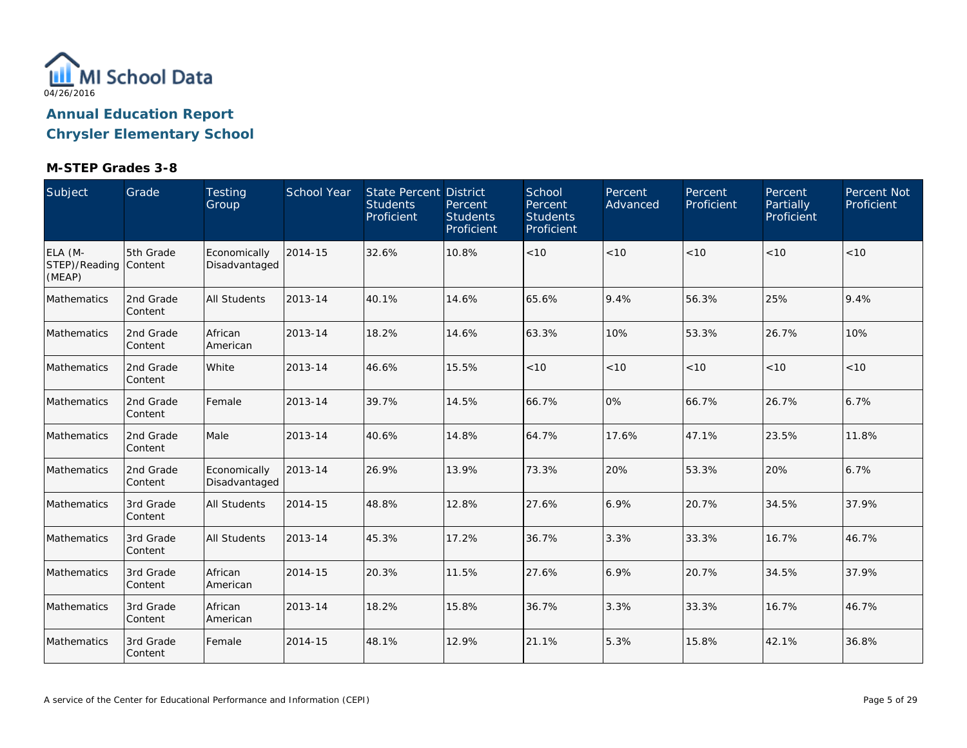

| Subject                                    | Grade                | Testing<br>Group              | <b>School Year</b> | State Percent District<br><b>Students</b><br>Proficient | Percent<br><b>Students</b><br>Proficient | School<br>Percent<br><b>Students</b><br>Proficient | <b>Percent</b><br>Advanced | Percent<br>Proficient | <b>Percent</b><br>Partially<br>Proficient | Percent Not<br>Proficient |
|--------------------------------------------|----------------------|-------------------------------|--------------------|---------------------------------------------------------|------------------------------------------|----------------------------------------------------|----------------------------|-----------------------|-------------------------------------------|---------------------------|
| ELA (M-<br>STEP)/Reading Content<br>(MEAP) | 5th Grade            | Economically<br>Disadvantaged | 2014-15            | 32.6%                                                   | 10.8%                                    | $<10$                                              | <10                        | < 10                  | < 10                                      | <10                       |
| Mathematics                                | 2nd Grade<br>Content | <b>All Students</b>           | 2013-14            | 40.1%                                                   | 14.6%                                    | 65.6%                                              | 9.4%                       | 56.3%                 | 25%                                       | 9.4%                      |
| Mathematics                                | 2nd Grade<br>Content | African<br>American           | 2013-14            | 18.2%                                                   | 14.6%                                    | 63.3%                                              | 10%                        | 53.3%                 | 26.7%                                     | 10%                       |
| Mathematics                                | 2nd Grade<br>Content | White                         | 2013-14            | 46.6%                                                   | 15.5%                                    | < 10                                               | < 10                       | < 10                  | < 10                                      | < 10                      |
| Mathematics                                | 2nd Grade<br>Content | Female                        | 2013-14            | 39.7%                                                   | 14.5%                                    | 66.7%                                              | 0%                         | 66.7%                 | 26.7%                                     | 6.7%                      |
| <b>Mathematics</b>                         | 2nd Grade<br>Content | Male                          | 2013-14            | 40.6%                                                   | 14.8%                                    | 64.7%                                              | 17.6%                      | 47.1%                 | 23.5%                                     | 11.8%                     |
| Mathematics                                | 2nd Grade<br>Content | Economically<br>Disadvantaged | 2013-14            | 26.9%                                                   | 13.9%                                    | 73.3%                                              | 20%                        | 53.3%                 | 20%                                       | 6.7%                      |
| Mathematics                                | 3rd Grade<br>Content | <b>All Students</b>           | 2014-15            | 48.8%                                                   | 12.8%                                    | 27.6%                                              | 6.9%                       | 20.7%                 | 34.5%                                     | 37.9%                     |
| Mathematics                                | 3rd Grade<br>Content | <b>All Students</b>           | 2013-14            | 45.3%                                                   | 17.2%                                    | 36.7%                                              | 3.3%                       | 33.3%                 | 16.7%                                     | 46.7%                     |
| Mathematics                                | 3rd Grade<br>Content | African<br>American           | 2014-15            | 20.3%                                                   | 11.5%                                    | 27.6%                                              | 6.9%                       | 20.7%                 | 34.5%                                     | 37.9%                     |
| Mathematics                                | 3rd Grade<br>Content | African<br>American           | 2013-14            | 18.2%                                                   | 15.8%                                    | 36.7%                                              | 3.3%                       | 33.3%                 | 16.7%                                     | 46.7%                     |
| Mathematics                                | 3rd Grade<br>Content | Female                        | 2014-15            | 48.1%                                                   | 12.9%                                    | 21.1%                                              | 5.3%                       | 15.8%                 | 42.1%                                     | 36.8%                     |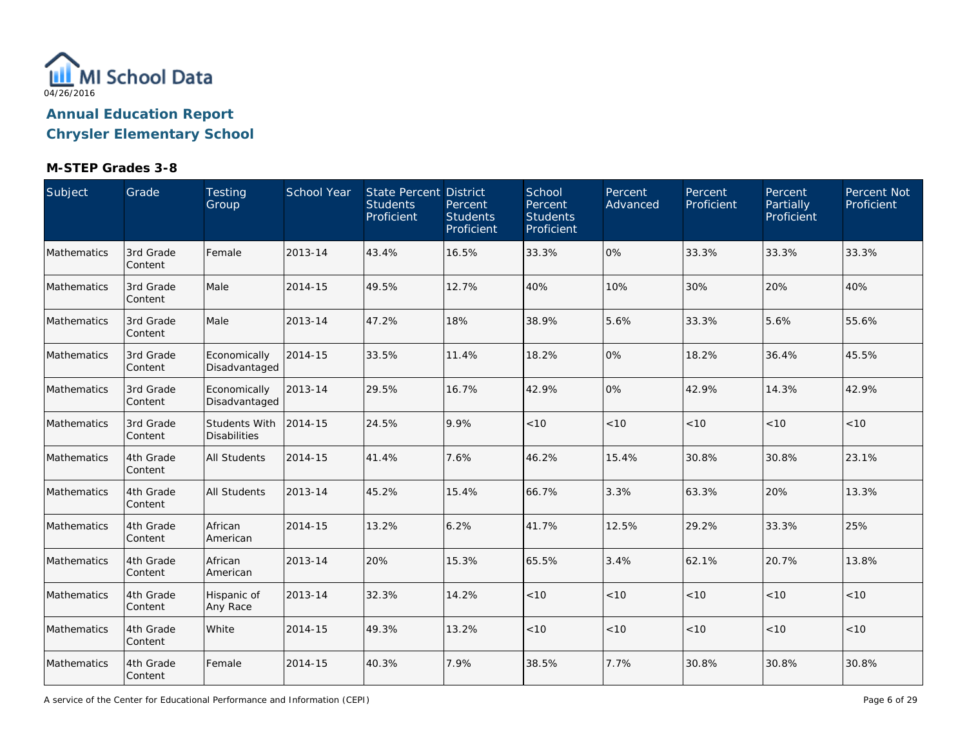

### **M-STEP Grades 3-8**

| Subject     | Grade                 | Testing<br>Group                            | School Year | <b>State Percent District</b><br><b>Students</b><br>Proficient | Percent<br><b>Students</b><br>Proficient | School<br>Percent<br><b>Students</b><br>Proficient | Percent<br>Advanced | Percent<br>Proficient | Percent<br>Partially<br>Proficient | Percent Not<br>Proficient |
|-------------|-----------------------|---------------------------------------------|-------------|----------------------------------------------------------------|------------------------------------------|----------------------------------------------------|---------------------|-----------------------|------------------------------------|---------------------------|
| Mathematics | 3rd Grade<br>Content  | Female                                      | 2013-14     | 43.4%                                                          | 16.5%                                    | 33.3%                                              | 0%                  | 33.3%                 | 33.3%                              | 33.3%                     |
| Mathematics | 3rd Grade<br>Content  | Male                                        | 2014-15     | 49.5%                                                          | 12.7%                                    | 40%                                                | 10%                 | 30%                   | 20%                                | 40%                       |
| Mathematics | 3rd Grade<br>Content  | Male                                        | 2013-14     | 47.2%                                                          | 18%                                      | 38.9%                                              | 5.6%                | 33.3%                 | 5.6%                               | 55.6%                     |
| Mathematics | 3rd Grade<br>Content  | Economically<br>Disadvantaged               | 2014-15     | 33.5%                                                          | 11.4%                                    | 18.2%                                              | 0%                  | 18.2%                 | 36.4%                              | 45.5%                     |
| Mathematics | 3rd Grade<br>Content  | Economically<br>Disadvantaged               | 2013-14     | 29.5%                                                          | 16.7%                                    | 42.9%                                              | 0%                  | 42.9%                 | 14.3%                              | 42.9%                     |
| Mathematics | 3rd Grade<br>Content  | <b>Students With</b><br><b>Disabilities</b> | 2014-15     | 24.5%                                                          | 9.9%                                     | $<10$                                              | < 10                | $<10$                 | < 10                               | < 10                      |
| Mathematics | 4th Grade<br>Content  | <b>All Students</b>                         | 2014-15     | 41.4%                                                          | 7.6%                                     | 46.2%                                              | 15.4%               | 30.8%                 | 30.8%                              | 23.1%                     |
| Mathematics | 4th Grade<br>Content  | <b>All Students</b>                         | 2013-14     | 45.2%                                                          | 15.4%                                    | 66.7%                                              | 3.3%                | 63.3%                 | 20%                                | 13.3%                     |
| Mathematics | 4th Grade<br>Content  | African<br>American                         | 2014-15     | 13.2%                                                          | 6.2%                                     | 41.7%                                              | 12.5%               | 29.2%                 | 33.3%                              | 25%                       |
| Mathematics | 4th Grade<br>Content  | African<br>American                         | 2013-14     | 20%                                                            | 15.3%                                    | 65.5%                                              | 3.4%                | 62.1%                 | 20.7%                              | 13.8%                     |
| Mathematics | 4th Grade<br>Content  | Hispanic of<br>Any Race                     | 2013-14     | 32.3%                                                          | 14.2%                                    | $<10$                                              | < 10                | < 10                  | < 10                               | < 10                      |
| Mathematics | 4th Grade<br>Content  | White                                       | 2014-15     | 49.3%                                                          | 13.2%                                    | < 10                                               | < 10                | < 10                  | < 10                               | < 10                      |
| Mathematics | 4th Grade<br> Content | Female                                      | 2014-15     | 40.3%                                                          | 7.9%                                     | 38.5%                                              | 7.7%                | 30.8%                 | 30.8%                              | 30.8%                     |

A service of the Center for Educational Performance and Information (CEPI)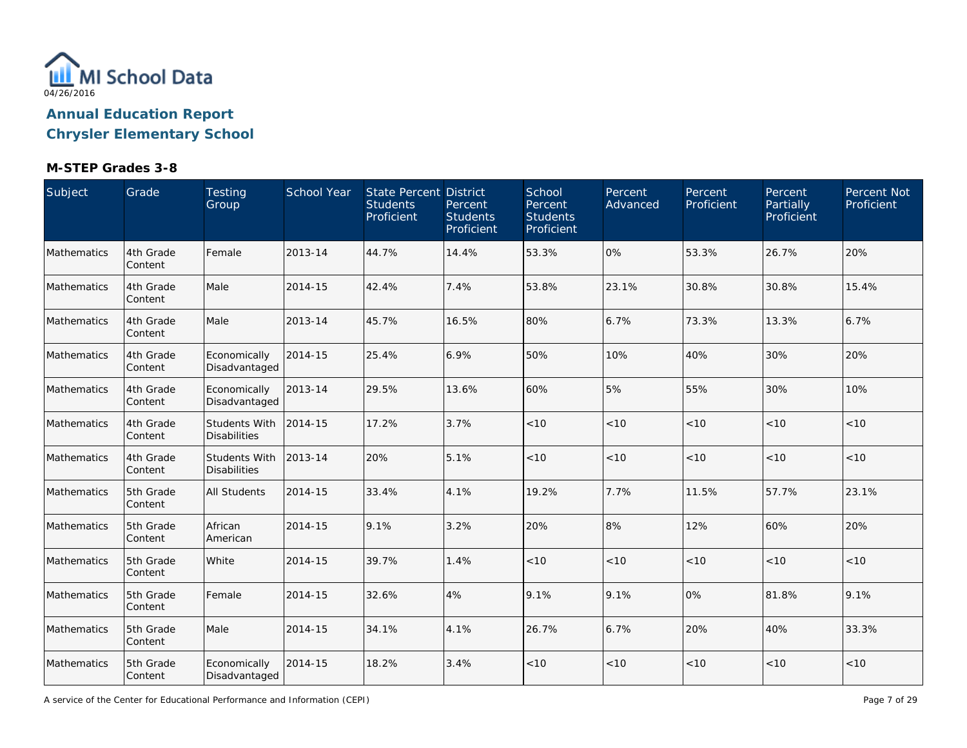

### **M-STEP Grades 3-8**

| Subject            | Grade                 | Testing<br>Group                            | School Year | <b>State Percent District</b><br><b>Students</b><br>Proficient | Percent<br><b>Students</b><br>Proficient | School<br>Percent<br><b>Students</b><br>Proficient | Percent<br>Advanced | Percent<br>Proficient | Percent<br>Partially<br>Proficient | Percent Not<br>Proficient |
|--------------------|-----------------------|---------------------------------------------|-------------|----------------------------------------------------------------|------------------------------------------|----------------------------------------------------|---------------------|-----------------------|------------------------------------|---------------------------|
| <b>Mathematics</b> | 4th Grade<br>Content  | Female                                      | 2013-14     | 44.7%                                                          | 14.4%                                    | 53.3%                                              | 0%                  | 53.3%                 | 26.7%                              | 20%                       |
| Mathematics        | 4th Grade<br>Content  | Male                                        | 2014-15     | 42.4%                                                          | 7.4%                                     | 53.8%                                              | 23.1%               | 30.8%                 | 30.8%                              | 15.4%                     |
| Mathematics        | 4th Grade<br>Content  | Male                                        | 2013-14     | 45.7%                                                          | 16.5%                                    | 80%                                                | 6.7%                | 73.3%                 | 13.3%                              | 6.7%                      |
| Mathematics        | 4th Grade<br>Content  | Economically<br>Disadvantaged               | 2014-15     | 25.4%                                                          | 6.9%                                     | 50%                                                | 10%                 | 40%                   | 30%                                | 20%                       |
| Mathematics        | 4th Grade<br>Content  | Economically<br>Disadvantaged               | 2013-14     | 29.5%                                                          | 13.6%                                    | 60%                                                | 5%                  | 55%                   | 30%                                | 10%                       |
| Mathematics        | 4th Grade<br>Content  | <b>Students With</b><br><b>Disabilities</b> | 2014-15     | 17.2%                                                          | 3.7%                                     | $<10$                                              | < 10                | $<10$                 | < 10                               | < 10                      |
| Mathematics        | 4th Grade<br>Content  | <b>Students With</b><br><b>Disabilities</b> | 2013-14     | 20%                                                            | 5.1%                                     | < 10                                               | < 10                | < 10                  | < 10                               | < 10                      |
| Mathematics        | 5th Grade<br>Content  | <b>All Students</b>                         | 2014-15     | 33.4%                                                          | 4.1%                                     | 19.2%                                              | 7.7%                | 11.5%                 | 57.7%                              | 23.1%                     |
| Mathematics        | 5th Grade<br>Content  | African<br>American                         | 2014-15     | 9.1%                                                           | 3.2%                                     | 20%                                                | 8%                  | 12%                   | 60%                                | 20%                       |
| Mathematics        | 5th Grade<br>Content  | White                                       | 2014-15     | 39.7%                                                          | 1.4%                                     | < 10                                               | < 10                | < 10                  | < 10                               | < 10                      |
| Mathematics        | 5th Grade<br>Content  | Female                                      | 2014-15     | 32.6%                                                          | 4%                                       | 9.1%                                               | 9.1%                | 0%                    | 81.8%                              | 9.1%                      |
| Mathematics        | 5th Grade<br>Content  | Male                                        | 2014-15     | 34.1%                                                          | 4.1%                                     | 26.7%                                              | 6.7%                | 20%                   | 40%                                | 33.3%                     |
| Mathematics        | 5th Grade<br> Content | Economically<br>Disadvantaged               | 2014-15     | 18.2%                                                          | 3.4%                                     | < 10                                               | < 10                | < 10                  | < 10                               | < 10                      |

A service of the Center for Educational Performance and Information (CEPI)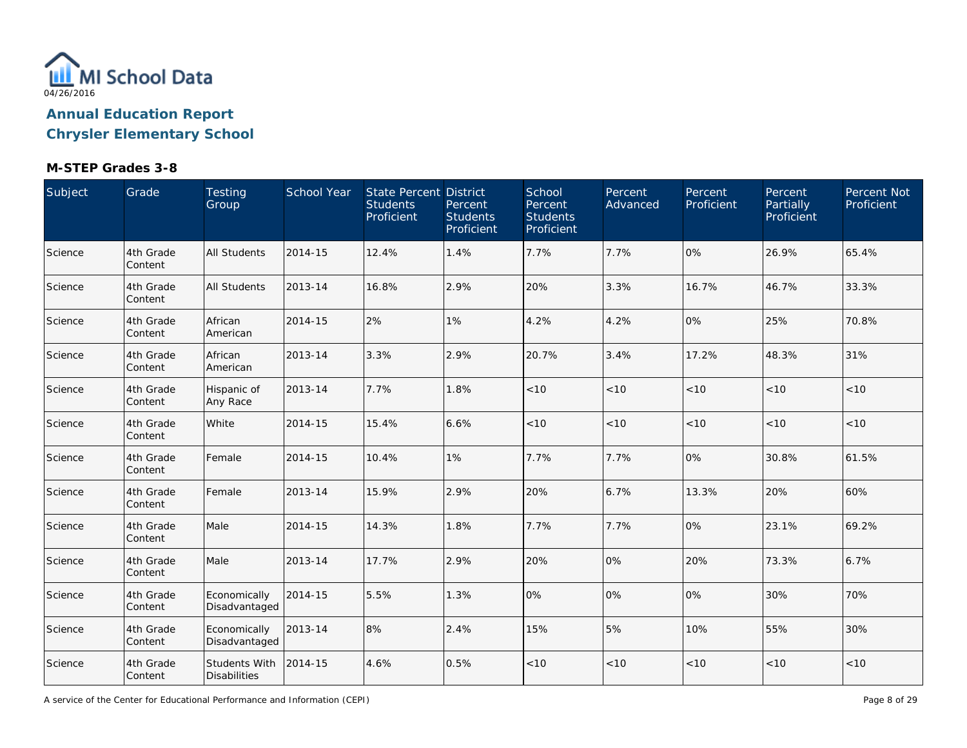

### **M-STEP Grades 3-8**

| Subject | Grade                 | Testing<br>Group                     | School Year | <b>State Percent District</b><br><b>Students</b><br>Proficient | Percent<br><b>Students</b><br>Proficient | School<br>Percent<br><b>Students</b><br>Proficient | Percent<br>Advanced | Percent<br>Proficient | Percent<br>Partially<br>Proficient | Percent Not<br>Proficient |
|---------|-----------------------|--------------------------------------|-------------|----------------------------------------------------------------|------------------------------------------|----------------------------------------------------|---------------------|-----------------------|------------------------------------|---------------------------|
| Science | 4th Grade<br>Content  | <b>All Students</b>                  | 2014-15     | 12.4%                                                          | 1.4%                                     | 7.7%                                               | 7.7%                | 0%                    | 26.9%                              | 65.4%                     |
| Science | 4th Grade<br>Content  | All Students                         | 2013-14     | 16.8%                                                          | 2.9%                                     | 20%                                                | 3.3%                | 16.7%                 | 46.7%                              | 33.3%                     |
| Science | 4th Grade<br>Content  | African<br>American                  | 2014-15     | 2%                                                             | 1%                                       | 4.2%                                               | 4.2%                | 0%                    | 25%                                | 70.8%                     |
| Science | 4th Grade<br>Content  | African<br>American                  | 2013-14     | 3.3%                                                           | 2.9%                                     | 20.7%                                              | 3.4%                | 17.2%                 | 48.3%                              | 31%                       |
| Science | 4th Grade<br>Content  | Hispanic of<br>Any Race              | 2013-14     | 7.7%                                                           | 1.8%                                     | $<10$                                              | < 10                | < 10                  | < 10                               | <10                       |
| Science | 4th Grade<br>Content  | White                                | 2014-15     | 15.4%                                                          | 6.6%                                     | $<10$                                              | < 10                | $<10$                 | < 10                               | < 10                      |
| Science | 4th Grade<br>Content  | Female                               | 2014-15     | 10.4%                                                          | 1%                                       | 7.7%                                               | 7.7%                | 0%                    | 30.8%                              | 61.5%                     |
| Science | 4th Grade<br>Content  | Female                               | 2013-14     | 15.9%                                                          | 2.9%                                     | 20%                                                | 6.7%                | 13.3%                 | 20%                                | 60%                       |
| Science | 4th Grade<br>Content  | Male                                 | 2014-15     | 14.3%                                                          | 1.8%                                     | 7.7%                                               | 7.7%                | 0%                    | 23.1%                              | 69.2%                     |
| Science | 4th Grade<br>Content  | Male                                 | 2013-14     | 17.7%                                                          | 2.9%                                     | 20%                                                | 0%                  | 20%                   | 73.3%                              | 6.7%                      |
| Science | 4th Grade<br>Content  | Economically<br>Disadvantaged        | 2014-15     | 5.5%                                                           | 1.3%                                     | 0%                                                 | 0%                  | 0%                    | 30%                                | 70%                       |
| Science | 4th Grade<br>Content  | Economically<br>Disadvantaged        | 2013-14     | 8%                                                             | 2.4%                                     | 15%                                                | 5%                  | 10%                   | 55%                                | 30%                       |
| Science | 4th Grade<br> Content | Students With<br><b>Disabilities</b> | 2014-15     | 4.6%                                                           | 0.5%                                     | $<10$                                              | $<10$               | < 10                  | < 10                               | < 10                      |

A service of the Center for Educational Performance and Information (CEPI)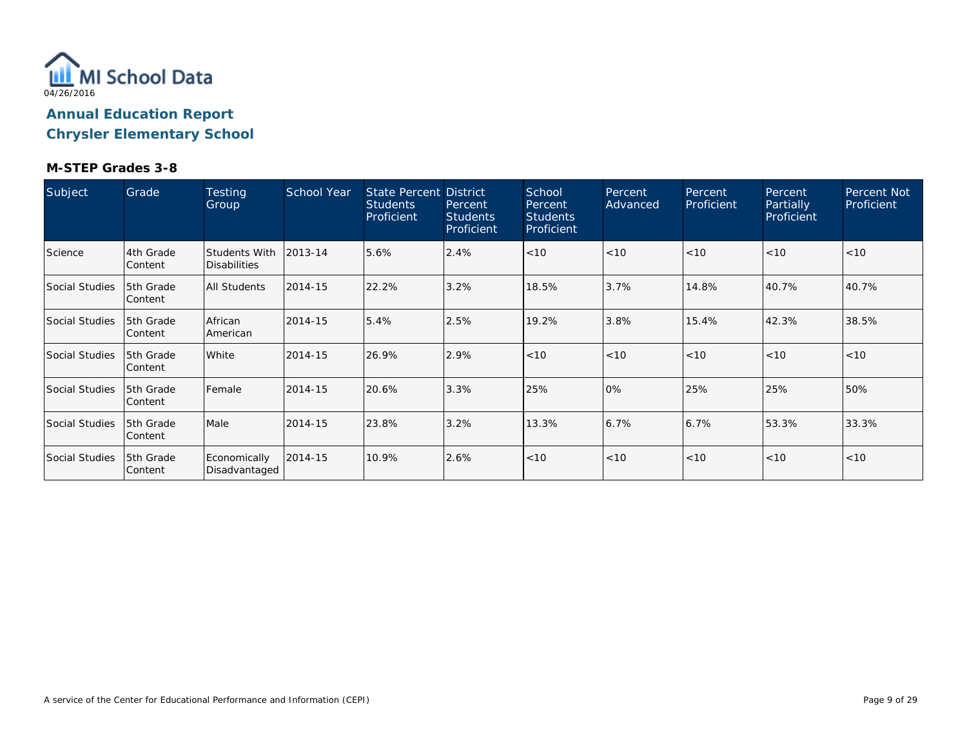

| Subject               | Grade                  | Testing<br>Group                     | School Year | State Percent District<br><b>Students</b><br>Proficient | Percent<br><b>Students</b><br>Proficient | School<br>Percent<br><b>Students</b><br>Proficient | Percent<br>Advanced | Percent<br>Proficient | Percent<br>Partially<br>Proficient | Percent Not<br>Proficient |
|-----------------------|------------------------|--------------------------------------|-------------|---------------------------------------------------------|------------------------------------------|----------------------------------------------------|---------------------|-----------------------|------------------------------------|---------------------------|
| Science               | 4th Grade<br> Content  | <b>Students With</b><br>Disabilities | 2013-14     | 5.6%                                                    | 2.4%                                     | < 10                                               | < 10                | < 10                  | < 10                               | < 10                      |
| <b>Social Studies</b> | 5th Grade<br> Content  | <b>All Students</b>                  | 2014-15     | 22.2%                                                   | 3.2%                                     | 18.5%                                              | 3.7%                | 14.8%                 | 40.7%                              | 40.7%                     |
| <b>Social Studies</b> | 15th Grade<br> Content | African<br>American                  | 2014-15     | 5.4%                                                    | 2.5%                                     | 19.2%                                              | 3.8%                | 15.4%                 | 42.3%                              | 38.5%                     |
| Social Studies        | 15th Grade<br> Content | White                                | 2014-15     | 26.9%                                                   | 2.9%                                     | < 10                                               | < 10                | < 10                  | < 10                               | < 10                      |
| Social Studies        | 15th Grade<br> Content | Female                               | 2014-15     | 20.6%                                                   | 3.3%                                     | 25%                                                | 0%                  | 25%                   | 25%                                | 50%                       |
| Social Studies        | 5th Grade<br> Content  | Male                                 | 2014-15     | 23.8%                                                   | 3.2%                                     | 13.3%                                              | 6.7%                | 6.7%                  | 53.3%                              | 33.3%                     |
| Social Studies        | 5th Grade<br> Content  | Economically<br>Disadvantaged        | 2014-15     | 10.9%                                                   | 2.6%                                     | < 10                                               | < 10                | < 10                  | < 10                               | < 10                      |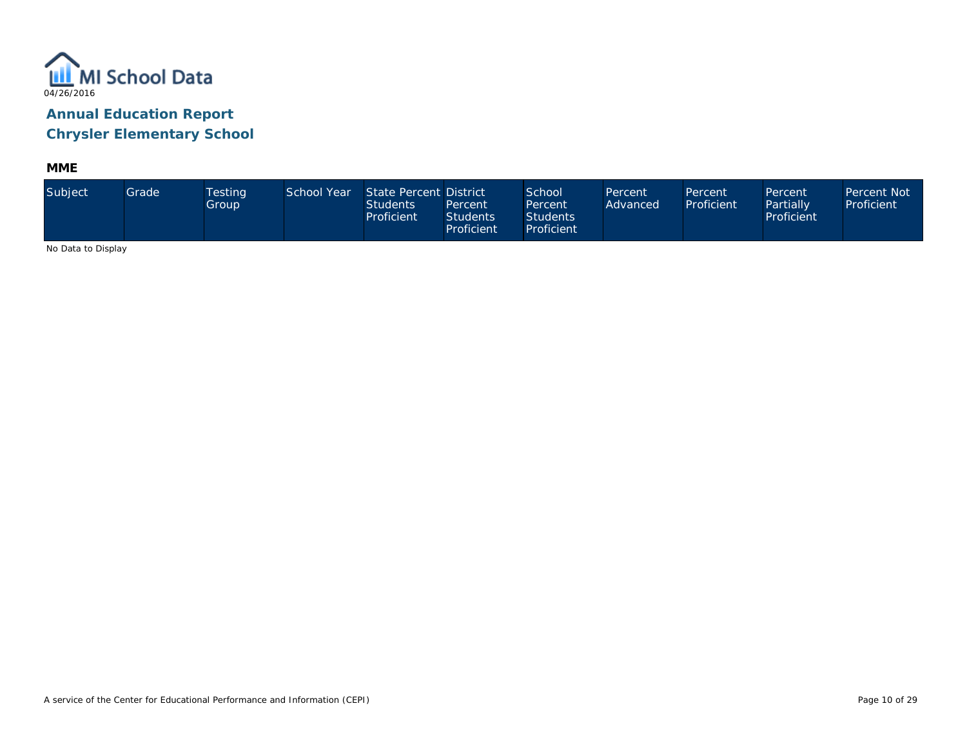

**MME**

| Subject             | Grade | <b>Testing</b><br>Group, | School Year | State Percent District<br><b>Students</b><br>Proficient | Percent<br><b>Students</b><br>Proficient | School<br>Percent<br><b>Students</b><br>Proficient | Percent<br>Advanced | Percent<br>Proficient | Percent<br>Partially<br>Proficient | Percent Not<br>Proficient |
|---------------------|-------|--------------------------|-------------|---------------------------------------------------------|------------------------------------------|----------------------------------------------------|---------------------|-----------------------|------------------------------------|---------------------------|
| No Data to Disalact |       |                          |             |                                                         |                                          |                                                    |                     |                       |                                    |                           |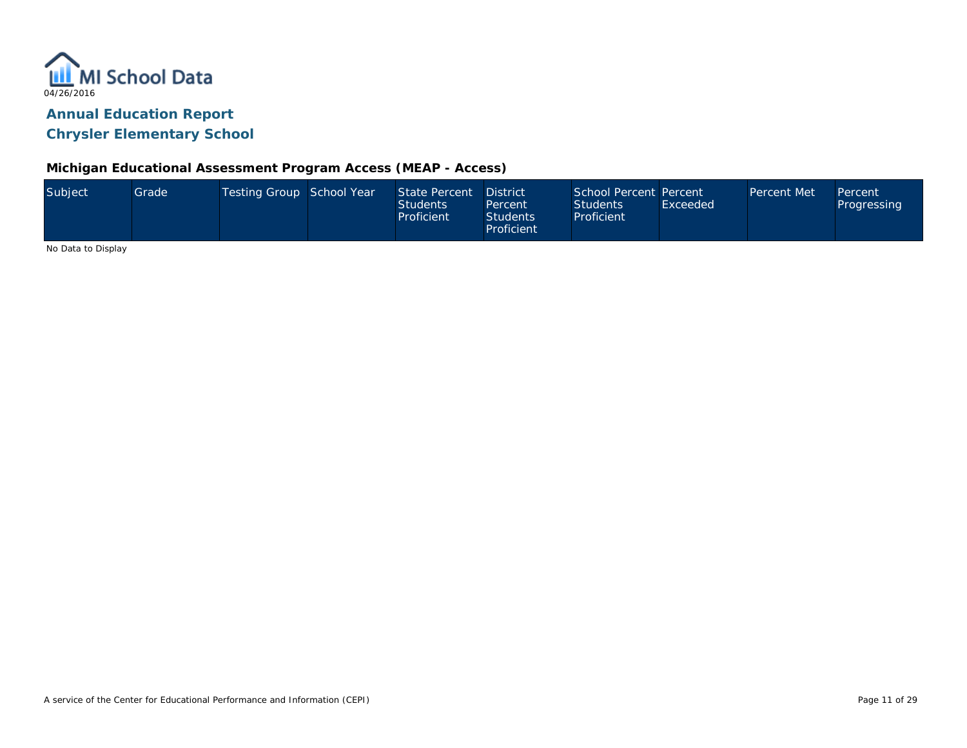

#### **Michigan Educational Assessment Program Access (MEAP - Access)**

| Subject            | Grade | Testing Group School Year | State Percent<br><b>Students</b><br>Proficient | District<br>Percent<br><b>Students</b><br>Proficient | School Percent Percent<br><b>Students</b><br>Proficient | Exceeded | Percent Met | Percent<br>Progressing |
|--------------------|-------|---------------------------|------------------------------------------------|------------------------------------------------------|---------------------------------------------------------|----------|-------------|------------------------|
| No Dota to Dicolou |       |                           |                                                |                                                      |                                                         |          |             |                        |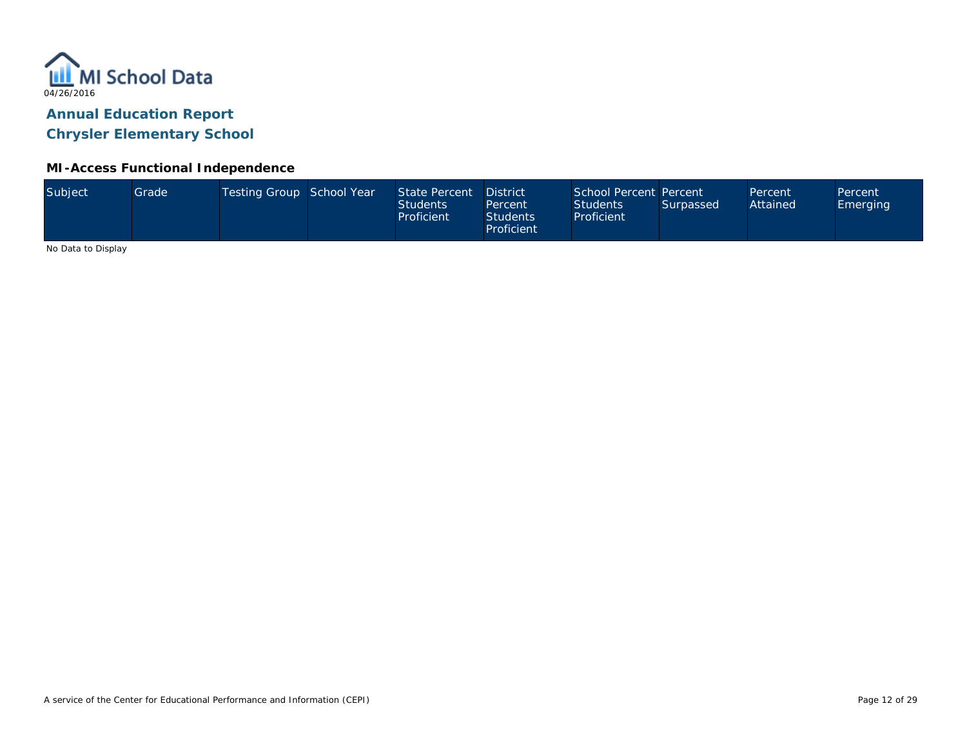

### **MI-Access Functional Independence**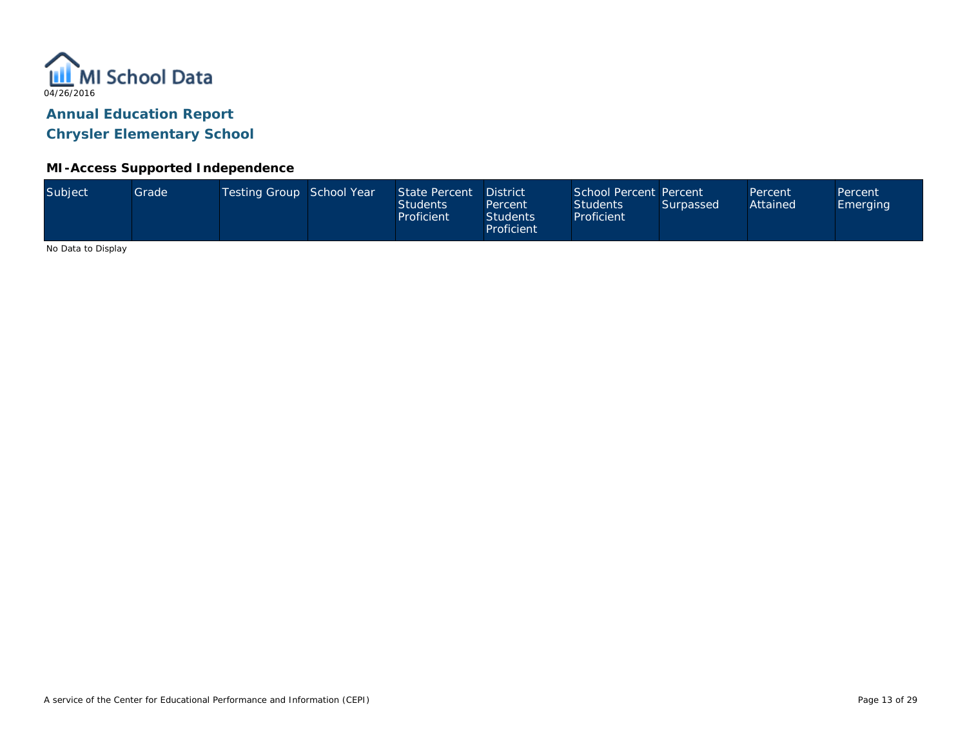

#### **MI-Access Supported Independence**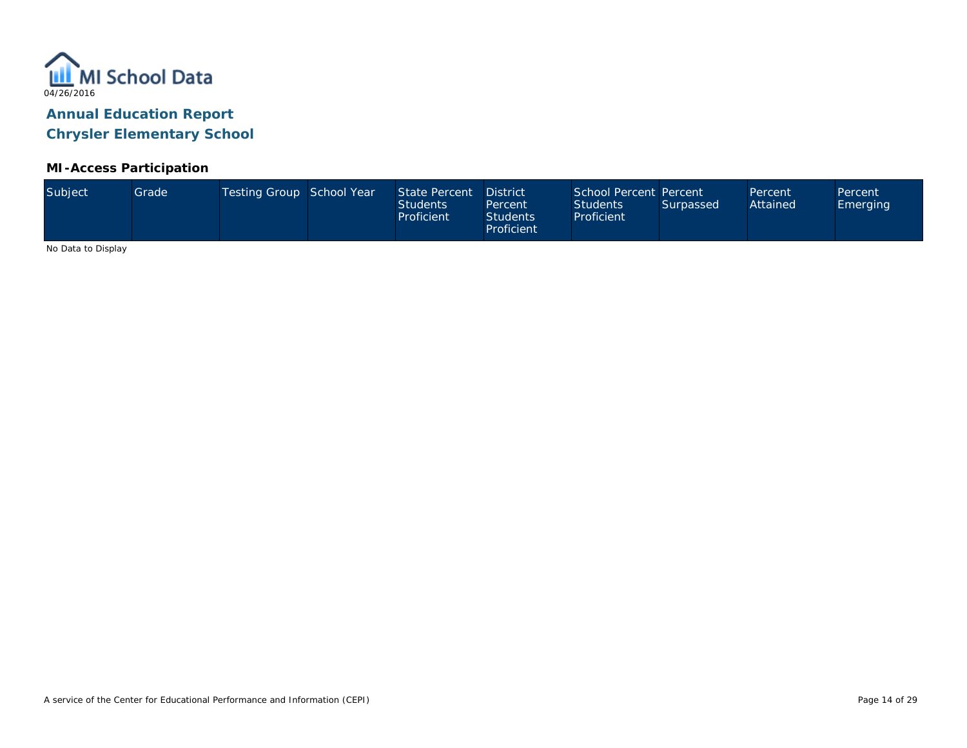

#### **MI-Access Participation**

| Subject             | Grade <sup>1</sup> | Testing Group School Year | State Percent<br><b>Students</b><br>Proficient | <b>District</b><br>Percent<br><b>Students</b><br>Proficient | School Percent Percent<br><b>Students</b><br>Proficient | Surpassed | Percent<br>Attained | Percent<br><b>Emerging</b> |
|---------------------|--------------------|---------------------------|------------------------------------------------|-------------------------------------------------------------|---------------------------------------------------------|-----------|---------------------|----------------------------|
| No Data to Disalact |                    |                           |                                                |                                                             |                                                         |           |                     |                            |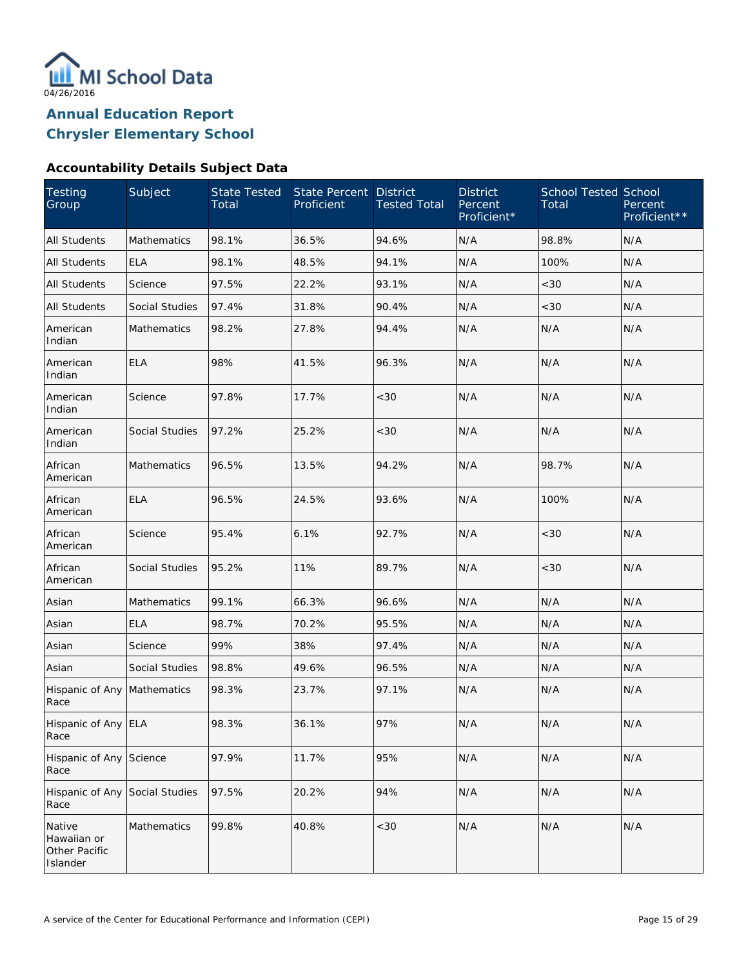

#### **Accountability Details Subject Data**

| Testing<br>Group                                   | Subject               | <b>State Tested</b><br>Total | State Percent<br>Proficient | <b>District</b><br><b>Tested Total</b> | <b>District</b><br>Percent<br>Proficient* | <b>School Tested School</b><br>Total | Percent<br>Proficient** |
|----------------------------------------------------|-----------------------|------------------------------|-----------------------------|----------------------------------------|-------------------------------------------|--------------------------------------|-------------------------|
| <b>All Students</b>                                | <b>Mathematics</b>    | 98.1%                        | 36.5%                       | 94.6%                                  | N/A                                       | 98.8%                                | N/A                     |
| <b>All Students</b>                                | <b>ELA</b>            | 98.1%                        | 48.5%                       | 94.1%                                  | N/A                                       | 100%                                 | N/A                     |
| All Students                                       | Science               | 97.5%                        | 22.2%                       | 93.1%                                  | N/A                                       | <30                                  | N/A                     |
| <b>All Students</b>                                | Social Studies        | 97.4%                        | 31.8%                       | 90.4%                                  | N/A                                       | <30                                  | N/A                     |
| American<br>Indian                                 | <b>Mathematics</b>    | 98.2%                        | 27.8%                       | 94.4%                                  | N/A                                       | N/A                                  | N/A                     |
| American<br>Indian                                 | <b>ELA</b>            | 98%                          | 41.5%                       | 96.3%                                  | N/A                                       | N/A                                  | N/A                     |
| American<br>Indian                                 | Science               | 97.8%                        | 17.7%                       | <30                                    | N/A                                       | N/A                                  | N/A                     |
| American<br>Indian                                 | <b>Social Studies</b> | 97.2%                        | 25.2%                       | <30                                    | N/A                                       | N/A                                  | N/A                     |
| African<br>American                                | <b>Mathematics</b>    | 96.5%                        | 13.5%                       | 94.2%                                  | N/A                                       | 98.7%                                | N/A                     |
| African<br>American                                | <b>ELA</b>            | 96.5%                        | 24.5%                       | 93.6%                                  | N/A                                       | 100%                                 | N/A                     |
| African<br>American                                | Science               | 95.4%                        | 6.1%                        | 92.7%                                  | N/A                                       | <30                                  | N/A                     |
| African<br>American                                | Social Studies        | 95.2%                        | 11%                         | 89.7%                                  | N/A                                       | <30                                  | N/A                     |
| Asian                                              | Mathematics           | 99.1%                        | 66.3%                       | 96.6%                                  | N/A                                       | N/A                                  | N/A                     |
| Asian                                              | <b>ELA</b>            | 98.7%                        | 70.2%                       | 95.5%                                  | N/A                                       | N/A                                  | N/A                     |
| Asian                                              | Science               | 99%                          | 38%                         | 97.4%                                  | N/A                                       | N/A                                  | N/A                     |
| Asian                                              | Social Studies        | 98.8%                        | 49.6%                       | 96.5%                                  | N/A                                       | N/A                                  | N/A                     |
| Hispanic of Any<br>Race                            | Mathematics           | 98.3%                        | 23.7%                       | 97.1%                                  | N/A                                       | N/A                                  | N/A                     |
| Hispanic of Any ELA<br>Race                        |                       | 98.3%                        | 36.1%                       | 97%                                    | N/A                                       | N/A                                  | N/A                     |
| Hispanic of Any<br>Race                            | Science               | 97.9%                        | 11.7%                       | 95%                                    | N/A                                       | N/A                                  | N/A                     |
| Hispanic of Any<br>Race                            | Social Studies        | 97.5%                        | 20.2%                       | 94%                                    | N/A                                       | N/A                                  | N/A                     |
| Native<br>Hawaiian or<br>Other Pacific<br>Islander | Mathematics           | 99.8%                        | 40.8%                       | <30                                    | N/A                                       | N/A                                  | N/A                     |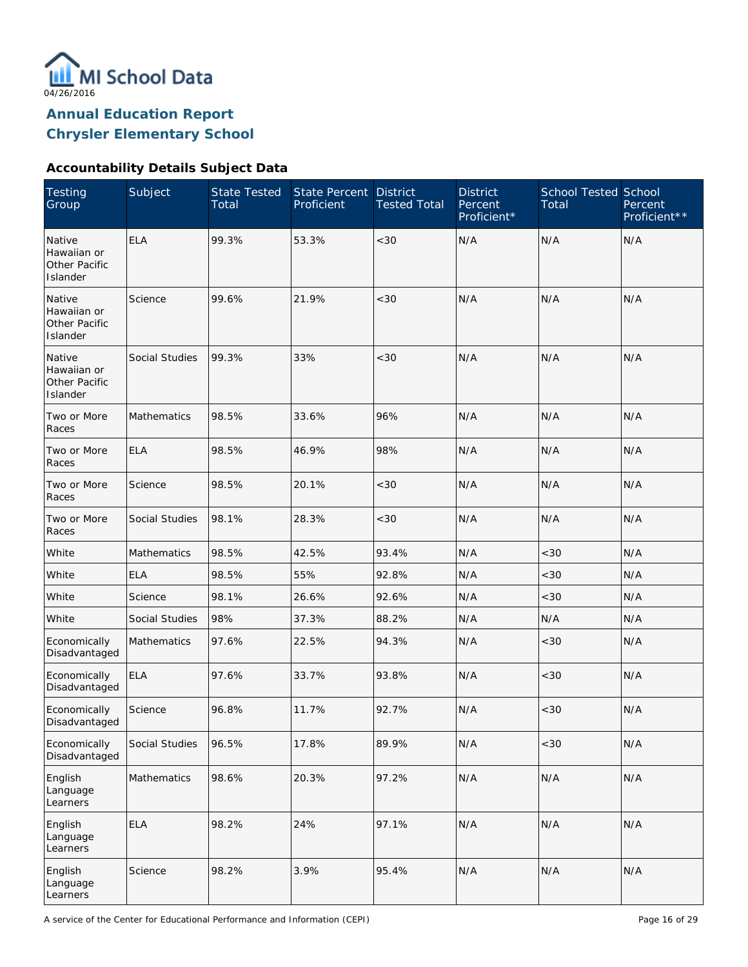

**Annual Education Report**

**Chrysler Elementary School**

### **Accountability Details Subject Data**

| <b>Testing</b><br>Group                                   | Subject            | <b>State Tested</b><br>Total | State Percent<br>Proficient | <b>District</b><br><b>Tested Total</b> | <b>District</b><br>Percent<br>Proficient* | <b>School Tested School</b><br>Total | Percent<br>Proficient** |
|-----------------------------------------------------------|--------------------|------------------------------|-----------------------------|----------------------------------------|-------------------------------------------|--------------------------------------|-------------------------|
| Native<br>Hawaiian or<br><b>Other Pacific</b><br>Islander | <b>ELA</b>         | 99.3%                        | 53.3%                       | < 30                                   | N/A                                       | N/A                                  | N/A                     |
| Native<br>Hawaiian or<br>Other Pacific<br>Islander        | Science            | 99.6%                        | 21.9%                       | < 30                                   | N/A                                       | N/A                                  | N/A                     |
| Native<br>Hawaiian or<br>Other Pacific<br>Islander        | Social Studies     | 99.3%                        | 33%                         | < 30                                   | N/A                                       | N/A                                  | N/A                     |
| Two or More<br>Races                                      | Mathematics        | 98.5%                        | 33.6%                       | 96%                                    | N/A                                       | N/A                                  | N/A                     |
| Two or More<br>Races                                      | <b>ELA</b>         | 98.5%                        | 46.9%                       | 98%                                    | N/A                                       | N/A                                  | N/A                     |
| Two or More<br>Races                                      | Science            | 98.5%                        | 20.1%                       | $<30$                                  | N/A                                       | N/A                                  | N/A                     |
| Two or More<br>Races                                      | Social Studies     | 98.1%                        | 28.3%                       | $<30$                                  | N/A                                       | N/A                                  | N/A                     |
| White                                                     | <b>Mathematics</b> | 98.5%                        | 42.5%                       | 93.4%                                  | N/A                                       | <30                                  | N/A                     |
| White                                                     | <b>ELA</b>         | 98.5%                        | 55%                         | 92.8%                                  | N/A                                       | <30                                  | N/A                     |
| White                                                     | Science            | 98.1%                        | 26.6%                       | 92.6%                                  | N/A                                       | <30                                  | N/A                     |
| White                                                     | Social Studies     | 98%                          | 37.3%                       | 88.2%                                  | N/A                                       | N/A                                  | N/A                     |
| Economically<br>Disadvantaged                             | <b>Mathematics</b> | 97.6%                        | 22.5%                       | 94.3%                                  | N/A                                       | <30                                  | N/A                     |
| Economically<br>Disadvantaged                             | <b>ELA</b>         | 97.6%                        | 33.7%                       | 93.8%                                  | N/A                                       | <30                                  | N/A                     |
| Economically<br>Disadvantaged                             | Science            | 96.8%                        | 11.7%                       | 92.7%                                  | N/A                                       | <30                                  | N/A                     |
| Economically<br>Disadvantaged                             | Social Studies     | 96.5%                        | 17.8%                       | 89.9%                                  | N/A                                       | <30                                  | N/A                     |
| English<br>Language<br>Learners                           | Mathematics        | 98.6%                        | 20.3%                       | 97.2%                                  | N/A                                       | N/A                                  | N/A                     |
| English<br>Language<br>Learners                           | <b>ELA</b>         | 98.2%                        | 24%                         | 97.1%                                  | N/A                                       | N/A                                  | N/A                     |
| English<br>Language<br>Learners                           | Science            | 98.2%                        | 3.9%                        | 95.4%                                  | N/A                                       | N/A                                  | N/A                     |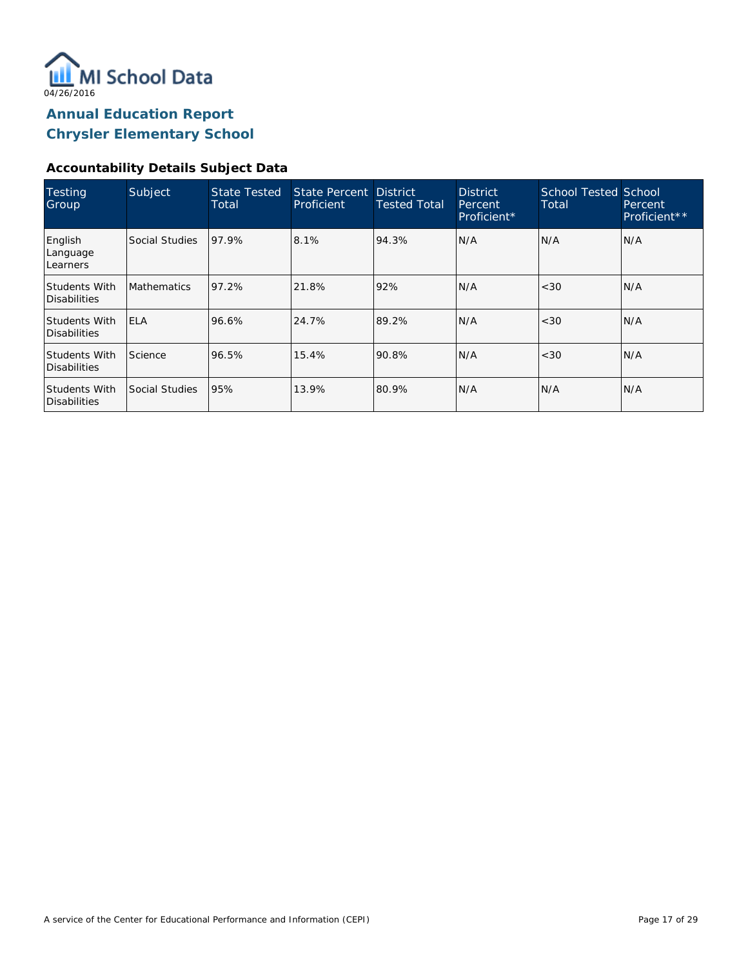

### **Accountability Details Subject Data**

| Testing<br>Group                     | Subject            | <b>State Tested</b><br>Total | State Percent District<br>Proficient | <b>Tested Total</b> | <b>District</b><br>Percent,<br>Proficient* | <b>School Tested School</b><br>Total | Percent<br>Proficient** |
|--------------------------------------|--------------------|------------------------------|--------------------------------------|---------------------|--------------------------------------------|--------------------------------------|-------------------------|
| English<br>Language<br>Learners      | Social Studies     | 97.9%                        | 8.1%                                 | 94.3%               | N/A                                        | N/A                                  | N/A                     |
| Students With<br>Disabilities        | <b>Mathematics</b> | 97.2%                        | 21.8%                                | 92%                 | N/A                                        | <30                                  | N/A                     |
| Students With<br>Disabilities        | <b>ELA</b>         | 96.6%                        | 24.7%                                | 89.2%               | N/A                                        | <30                                  | IN/A                    |
| <b>Students With</b><br>Disabilities | Science            | 96.5%                        | 15.4%                                | 90.8%               | N/A                                        | <30                                  | IN/A                    |
| <b>Students With</b><br>Disabilities | Social Studies     | 95%                          | 13.9%                                | 80.9%               | N/A                                        | N/A                                  | IN/A                    |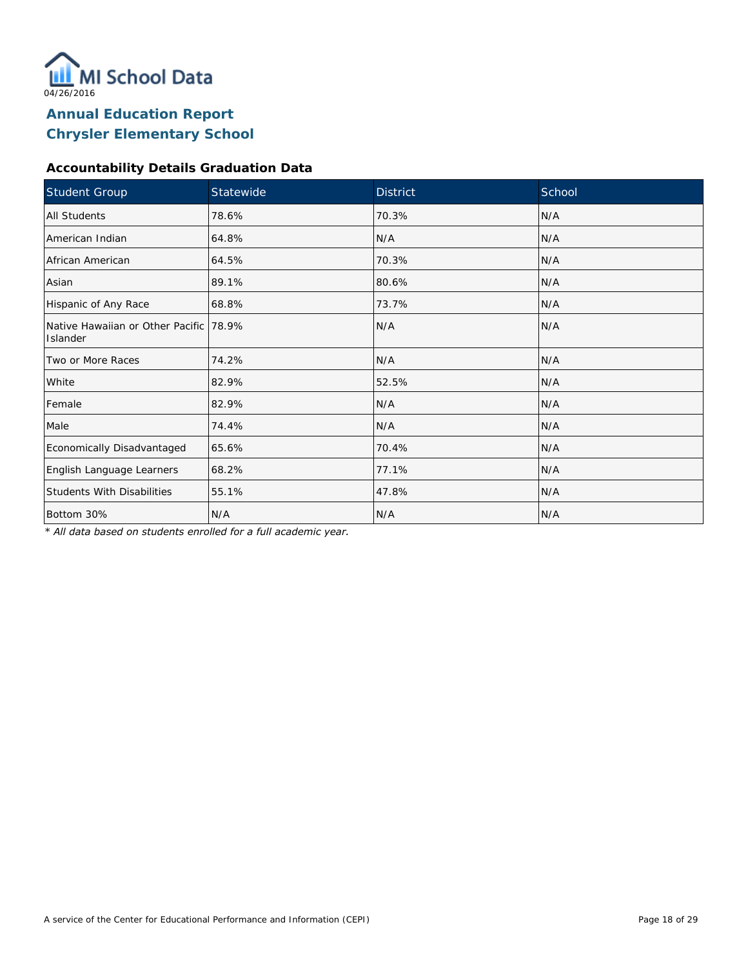

### **Accountability Details Graduation Data**

| Student Group                                      | Statewide | <b>District</b> | School |
|----------------------------------------------------|-----------|-----------------|--------|
| All Students                                       | 78.6%     | 70.3%           | N/A    |
| American Indian                                    | 64.8%     | N/A             | N/A    |
| African American                                   | 64.5%     | 70.3%           | N/A    |
| Asian                                              | 89.1%     | 80.6%           | N/A    |
| Hispanic of Any Race                               | 68.8%     | 73.7%           | N/A    |
| Native Hawaiian or Other Pacific 78.9%<br>Islander |           | N/A             | N/A    |
| Two or More Races                                  | 74.2%     | N/A             | N/A    |
| White                                              | 82.9%     | 52.5%           | N/A    |
| Female                                             | 82.9%     | N/A             | N/A    |
| Male                                               | 74.4%     | N/A             | N/A    |
| Economically Disadvantaged                         | 65.6%     | 70.4%           | N/A    |
| English Language Learners                          | 68.2%     | 77.1%           | N/A    |
| <b>Students With Disabilities</b>                  | 55.1%     | 47.8%           | N/A    |
| Bottom 30%                                         | N/A       | N/A             | N/A    |

*\* All data based on students enrolled for a full academic year.*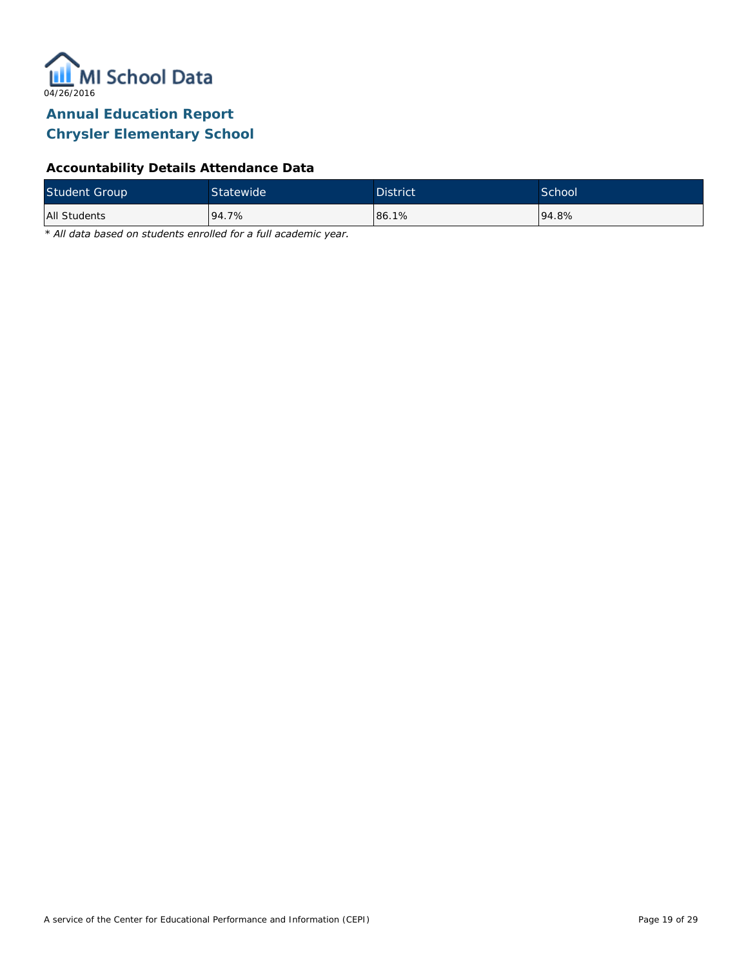

### **Accountability Details Attendance Data**

| <b>Student Group</b> | Statewide <sup>1</sup> | <b>District</b> | School <sup>'</sup> |
|----------------------|------------------------|-----------------|---------------------|
| All Students         | 94.7%                  | 86.1%           | 194.8%              |

*\* All data based on students enrolled for a full academic year.*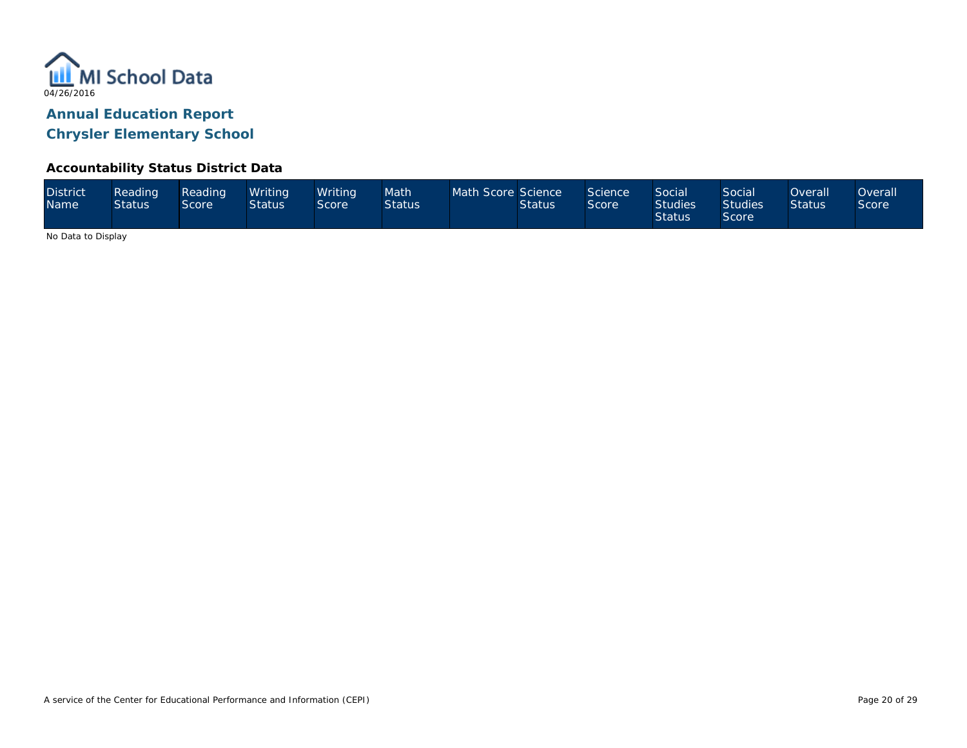

#### **Accountability Status District Data**

| <b>District</b><br><b>Name</b> | Reading<br><b>Status</b> | Reading<br>Score' | Writina<br><b>Status</b> | Writina <sup>1</sup><br>Score | Math<br><b>Status</b> | Math Score Science | <b>Status</b> | Science<br><b>Score</b> | <b>Social</b><br><b>Studies</b><br><b>Status</b> | Social<br><b>Studies</b><br>Score | <b>Overall</b><br><b>Status</b> | )verall<br><b>Score</b> |
|--------------------------------|--------------------------|-------------------|--------------------------|-------------------------------|-----------------------|--------------------|---------------|-------------------------|--------------------------------------------------|-----------------------------------|---------------------------------|-------------------------|
|--------------------------------|--------------------------|-------------------|--------------------------|-------------------------------|-----------------------|--------------------|---------------|-------------------------|--------------------------------------------------|-----------------------------------|---------------------------------|-------------------------|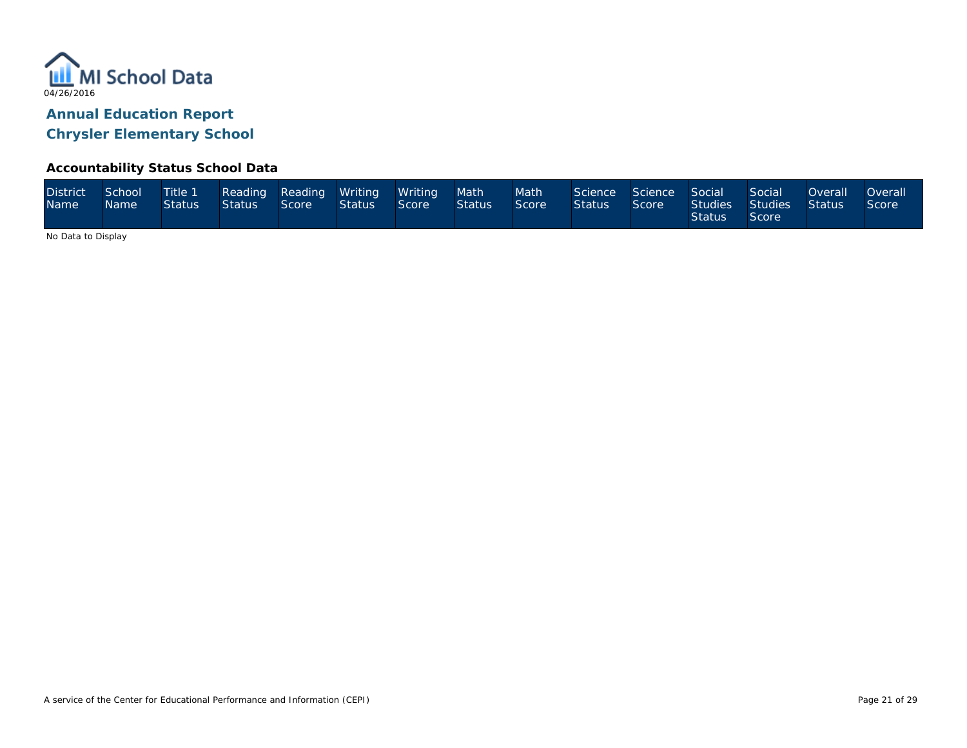

#### **Accountability Status School Data**

| <b>District</b><br>Name <sup>1</sup> | School<br>Name | Status | Status Score |  | Title 1 Reading Reading Writing Writing<br><b>Status</b> | Score | Math<br><b>Status</b> | Math <sup>1</sup><br>Score | Science Science Social<br><b>Status</b> | Score | <b>Status</b> | Social<br>Studies Studies Status<br>Score | Overall | <b>Overall</b><br>Score |
|--------------------------------------|----------------|--------|--------------|--|----------------------------------------------------------|-------|-----------------------|----------------------------|-----------------------------------------|-------|---------------|-------------------------------------------|---------|-------------------------|
|--------------------------------------|----------------|--------|--------------|--|----------------------------------------------------------|-------|-----------------------|----------------------------|-----------------------------------------|-------|---------------|-------------------------------------------|---------|-------------------------|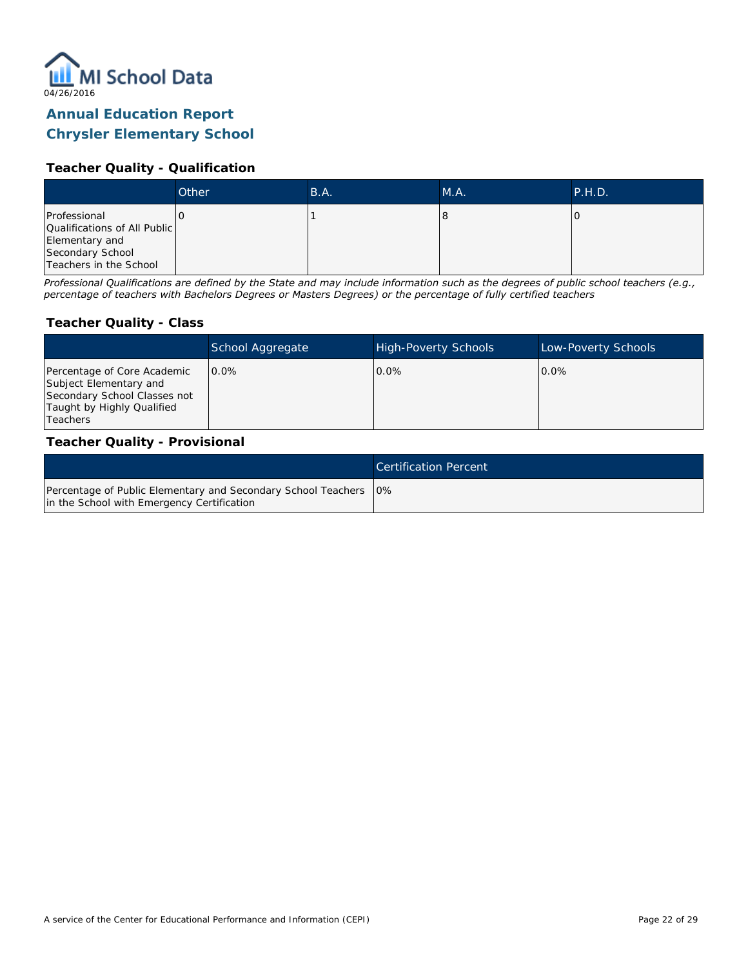

## **Annual Education Report**

### **Chrysler Elementary School**

#### **Teacher Quality - Qualification**

|                                                | Other | B.A. | M.A. | P.H.D. |
|------------------------------------------------|-------|------|------|--------|
| Professional                                   |       |      |      |        |
| Qualifications of All Public<br>Elementary and |       |      |      |        |
| Secondary School<br>Teachers in the School     |       |      |      |        |

*Professional Qualifications are defined by the State and may include information such as the degrees of public school teachers (e.g., percentage of teachers with Bachelors Degrees or Masters Degrees) or the percentage of fully certified teachers*

#### **Teacher Quality - Class**

|                                                                                                                                        | School Aggregate | <b>High-Poverty Schools</b> | Low-Poverty Schools |
|----------------------------------------------------------------------------------------------------------------------------------------|------------------|-----------------------------|---------------------|
| Percentage of Core Academic<br>Subject Elementary and<br>Secondary School Classes not<br>Taught by Highly Qualified<br><b>Teachers</b> | $0.0\%$          | $0.0\%$                     | $0.0\%$             |

#### **Teacher Quality - Provisional**

|                                                                                                                  | Certification Percent |
|------------------------------------------------------------------------------------------------------------------|-----------------------|
| Percentage of Public Elementary and Secondary School Teachers   0%<br>in the School with Emergency Certification |                       |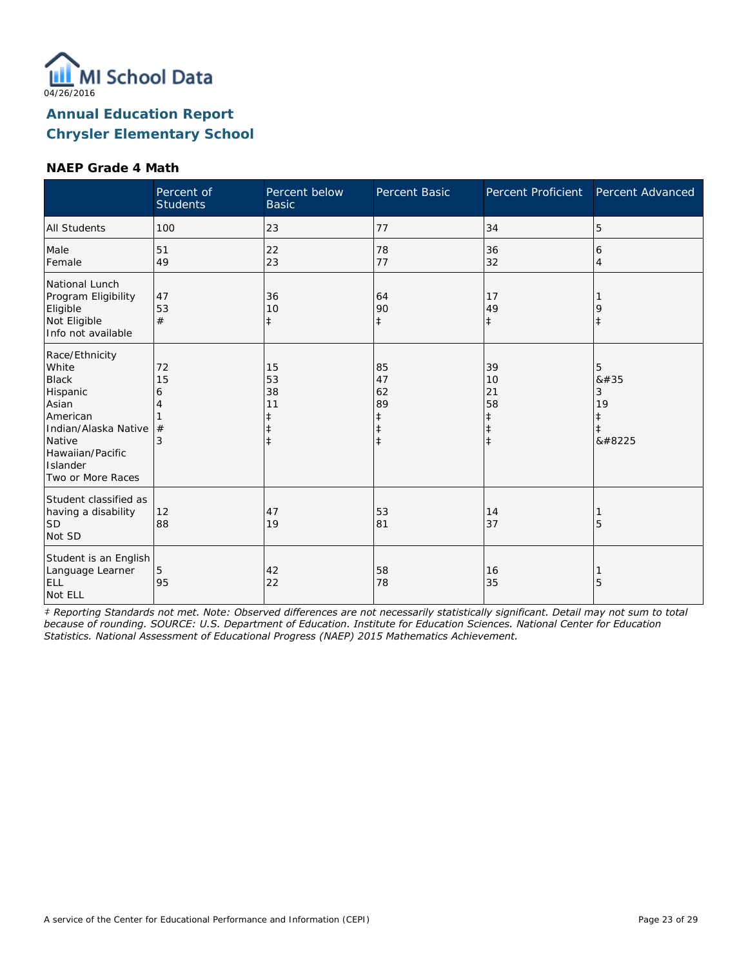

#### **NAEP Grade 4 Math**

|                                                                                                                                                                 | Percent of<br><b>Students</b> | Percent below<br><b>Basic</b>                    | Percent Basic                                                  | Percent Proficient                                             | Percent Advanced               |
|-----------------------------------------------------------------------------------------------------------------------------------------------------------------|-------------------------------|--------------------------------------------------|----------------------------------------------------------------|----------------------------------------------------------------|--------------------------------|
| <b>All Students</b>                                                                                                                                             | 100                           | 23                                               | 77                                                             | 34                                                             | 5                              |
| Male<br>Female                                                                                                                                                  | 51<br>49                      | 22<br>23                                         | 78<br>77                                                       | 36<br>32                                                       | 6<br>$\overline{4}$            |
| National Lunch<br>Program Eligibility<br>Eligible<br>Not Eligible<br>Info not available                                                                         | 47<br>53<br>#                 | 36<br>10<br>$\ddagger$                           | 64<br>90<br>$\ddagger$                                         | 17<br>49<br>$\ddagger$                                         | 9<br>$\ddagger$                |
| Race/Ethnicity<br>White<br><b>Black</b><br>Hispanic<br>Asian<br>American<br>Indian/Alaska Native<br>Native<br>Hawaiian/Pacific<br>Islander<br>Two or More Races | 72<br>15<br>6<br>4<br>#<br>3  | 15<br>53<br>38<br>11<br>$\ddagger$<br>$\ddagger$ | 85<br>47<br>62<br>89<br>$\ddagger$<br>$\ddagger$<br>$\ddagger$ | 39<br>10<br>21<br>58<br>$\ddagger$<br>$\ddagger$<br>$\ddagger$ | 5<br>8#35<br>3<br>19<br>ŧ<br>‡ |
| Student classified as<br>having a disability<br>SD <sup>1</sup><br>Not SD                                                                                       | 12<br>88                      | 47<br>19                                         | 53<br>81                                                       | 14<br>37                                                       | 5                              |
| Student is an English<br>Language Learner<br>ELL<br>Not ELL                                                                                                     | 5<br>95                       | 42<br>22                                         | 58<br>78                                                       | 16<br>35                                                       | 5                              |

*‡ Reporting Standards not met. Note: Observed differences are not necessarily statistically significant. Detail may not sum to total because of rounding. SOURCE: U.S. Department of Education. Institute for Education Sciences. National Center for Education Statistics. National Assessment of Educational Progress (NAEP) 2015 Mathematics Achievement.*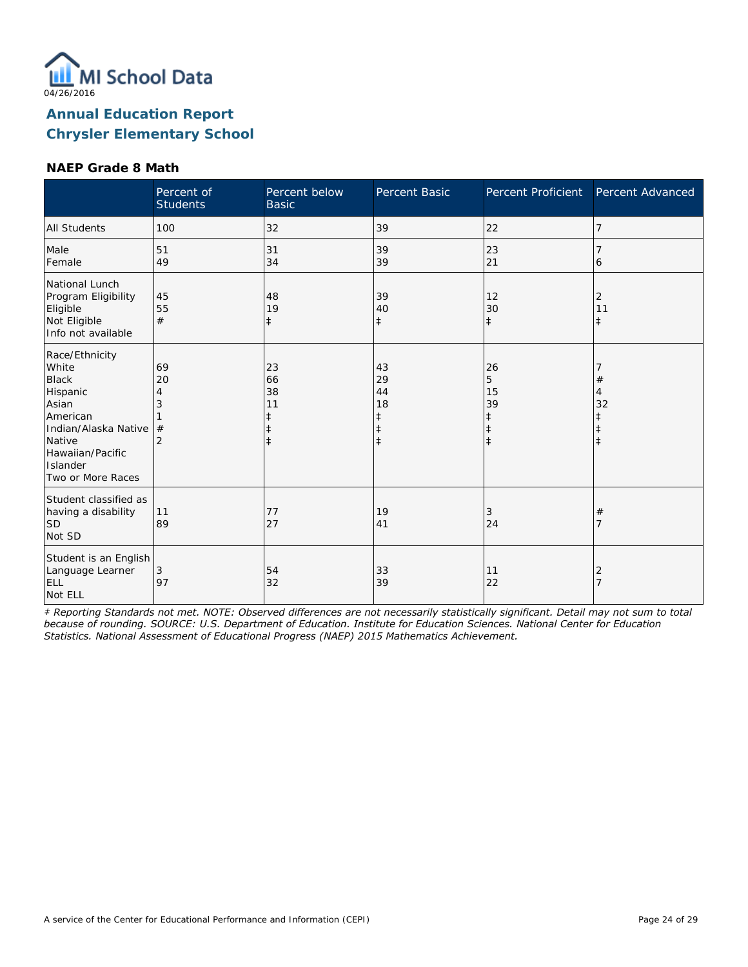

#### **NAEP Grade 8 Math**

|                                                                                                                                                                 | Percent of<br><b>Students</b>             | Percent below<br><b>Basic</b>                    | Percent Basic                                | Percent Proficient                     | Percent Advanced      |
|-----------------------------------------------------------------------------------------------------------------------------------------------------------------|-------------------------------------------|--------------------------------------------------|----------------------------------------------|----------------------------------------|-----------------------|
| <b>All Students</b>                                                                                                                                             | 100                                       | 32                                               | 39                                           | 22                                     | 7                     |
| Male<br>Female                                                                                                                                                  | 51<br>49                                  | 31<br>34                                         | 39<br>39                                     | 23<br>21                               | 6                     |
| National Lunch<br>Program Eligibility<br>Eligible<br>Not Eligible<br>Info not available                                                                         | 45<br>55<br>#                             | 48<br>19<br>$\ddagger$                           | 39<br>40<br>$\ddagger$                       | 12<br>30<br>$\ddagger$                 | 2<br>11<br>$\ddagger$ |
| Race/Ethnicity<br>White<br><b>Black</b><br>Hispanic<br>Asian<br>American<br>Indian/Alaska Native<br>Native<br>Hawaiian/Pacific<br>Islander<br>Two or More Races | 69<br>20<br>4<br>3<br>#<br>$\overline{2}$ | 23<br>66<br>38<br>11<br>ŧ<br>$\ddagger$<br>$\pm$ | 43<br>29<br>44<br>18<br>ŧ<br>ŧ<br>$\ddagger$ | 26<br>5<br>15<br>39<br>ŧ<br>$\ddagger$ | #<br>4<br>32          |
| Student classified as<br>having a disability<br>SD <sup>1</sup><br>Not SD                                                                                       | 11<br>89                                  | 77<br>27                                         | 19<br>41                                     | 3<br>24                                | #                     |
| Student is an English<br>Language Learner<br><b>ELL</b><br>Not ELL                                                                                              | 3<br>97                                   | 54<br>32                                         | 33<br>39                                     | 11<br>22                               | 2                     |

*‡ Reporting Standards not met. NOTE: Observed differences are not necessarily statistically significant. Detail may not sum to total because of rounding. SOURCE: U.S. Department of Education. Institute for Education Sciences. National Center for Education Statistics. National Assessment of Educational Progress (NAEP) 2015 Mathematics Achievement.*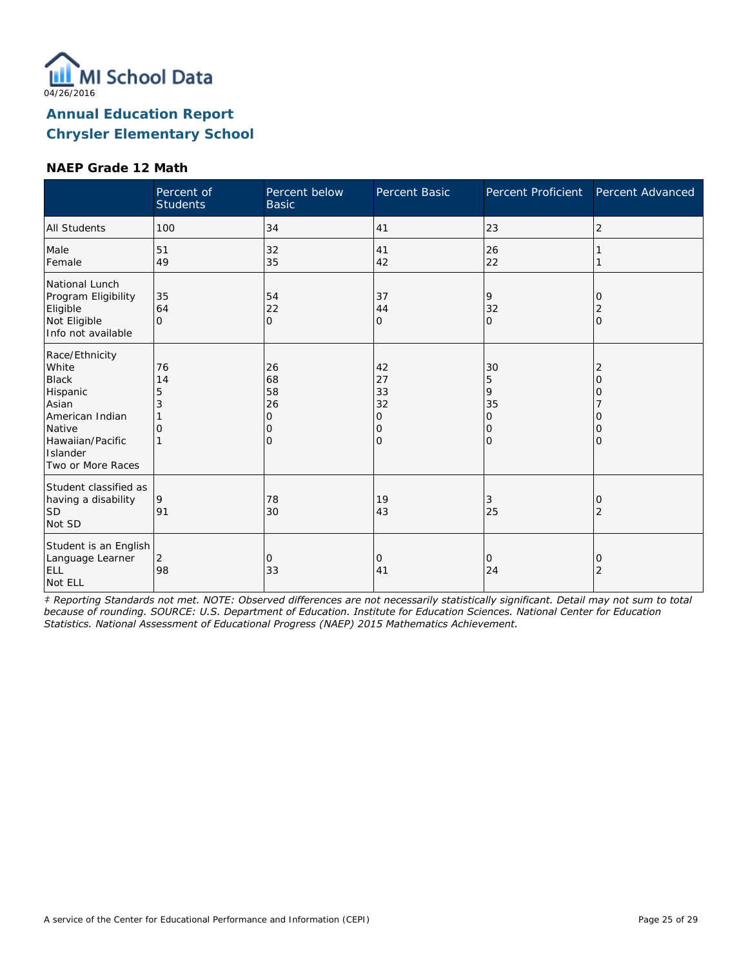

#### **NAEP Grade 12 Math**

|                                                                                                                                                | Percent of<br><b>Students</b> | Percent below<br><b>Basic</b>              | Percent Basic                       | Percent Proficient                                   | Percent Advanced           |
|------------------------------------------------------------------------------------------------------------------------------------------------|-------------------------------|--------------------------------------------|-------------------------------------|------------------------------------------------------|----------------------------|
| <b>All Students</b>                                                                                                                            | 100                           | 34                                         | 41                                  | 23                                                   | 2                          |
| Male<br>Female                                                                                                                                 | 51<br>49                      | 32<br>35                                   | 41<br>42                            | 26<br>22                                             |                            |
| National Lunch<br>Program Eligibility<br>Eligible<br>Not Eligible<br>Info not available                                                        | 35<br>64<br>$\Omega$          | 54<br>22<br>$\overline{O}$                 | 37<br>44<br>0                       | 9<br>32<br>$\Omega$                                  | 0<br>2<br>$\mathbf{O}$     |
| Race/Ethnicity<br>White<br><b>Black</b><br>Hispanic<br>Asian<br>American Indian<br>Native<br>Hawaiian/Pacific<br>Islander<br>Two or More Races | 76<br>14<br>5<br>3<br>O       | 26<br>68<br>58<br>26<br>Ω<br>O<br>$\Omega$ | 42<br>27<br>33<br>32<br>0<br>0<br>O | 30<br>5<br>9<br>35<br>$\circ$<br>$\circ$<br>$\Omega$ | 2<br>O<br>Ω<br>O<br>Ω<br>0 |
| Student classified as<br>having a disability<br><b>SD</b><br>Not SD                                                                            | 9<br>91                       | 78<br>30                                   | 19<br>43                            | 3<br>25                                              | 0<br>2                     |
| Student is an English<br>Language Learner<br>ELL<br>Not ELL                                                                                    | $\overline{2}$<br>98          | 0<br>33                                    | 0<br>41                             | 0<br>24                                              | 0<br>2                     |

*‡ Reporting Standards not met. NOTE: Observed differences are not necessarily statistically significant. Detail may not sum to total because of rounding. SOURCE: U.S. Department of Education. Institute for Education Sciences. National Center for Education Statistics. National Assessment of Educational Progress (NAEP) 2015 Mathematics Achievement.*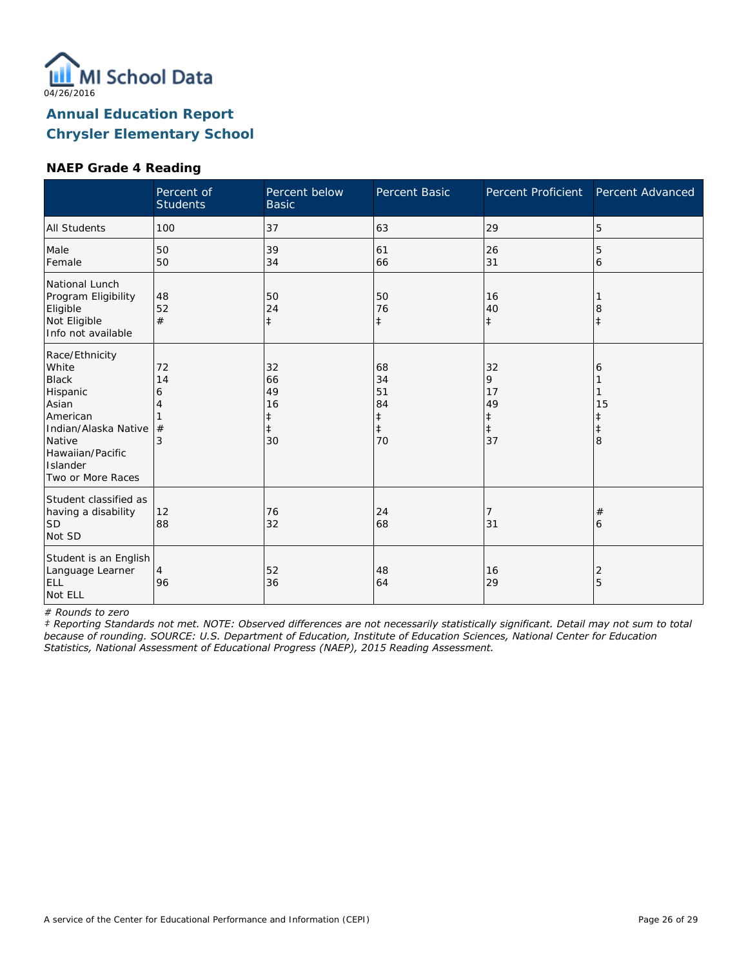

#### **NAEP Grade 4 Reading**

|                                                                                                                                                                 | Percent of<br><b>Students</b> | Percent below<br><b>Basic</b>                 | Percent Basic                                          | Percent Proficient                                    | Percent Advanced |
|-----------------------------------------------------------------------------------------------------------------------------------------------------------------|-------------------------------|-----------------------------------------------|--------------------------------------------------------|-------------------------------------------------------|------------------|
| <b>All Students</b>                                                                                                                                             | 100                           | 37                                            | 63                                                     | 29                                                    | 5                |
| Male<br>Female                                                                                                                                                  | 50<br>50                      | 39<br>34                                      | 61<br>66                                               | 26<br>31                                              | 5<br>6           |
| National Lunch<br>Program Eligibility<br>Eligible<br>Not Eligible<br>Info not available                                                                         | 48<br>52<br>#                 | 50<br>24<br>$\ddagger$                        | 50<br>76<br>$\ddagger$                                 | 16<br>40<br>$\ddagger$                                | 8<br>İ           |
| Race/Ethnicity<br>White<br><b>Black</b><br>Hispanic<br>Asian<br>American<br>Indian/Alaska Native<br>Native<br>Hawaiian/Pacific<br>Islander<br>Two or More Races | 72<br>14<br>6<br>4<br>#<br>3  | 32<br>66<br>49<br>16<br>‡<br>$\ddagger$<br>30 | 68<br>34<br>51<br>84<br>$\ddagger$<br>$\ddagger$<br>70 | 32<br>9<br>17<br>49<br>$\ddagger$<br>$\ddagger$<br>37 | 6<br>15<br>8     |
| Student classified as<br>having a disability<br><b>SD</b><br>Not SD                                                                                             | 12<br>88                      | 76<br>32                                      | 24<br>68                                               | 7<br>31                                               | #<br>6           |
| Student is an English<br>Language Learner<br>ELL<br>Not ELL                                                                                                     | 4<br>96                       | 52<br>36                                      | 48<br>64                                               | 16<br>29                                              | 2<br>5           |

*# Rounds to zero*

*‡ Reporting Standards not met. NOTE: Observed differences are not necessarily statistically significant. Detail may not sum to total because of rounding. SOURCE: U.S. Department of Education, Institute of Education Sciences, National Center for Education Statistics, National Assessment of Educational Progress (NAEP), 2015 Reading Assessment.*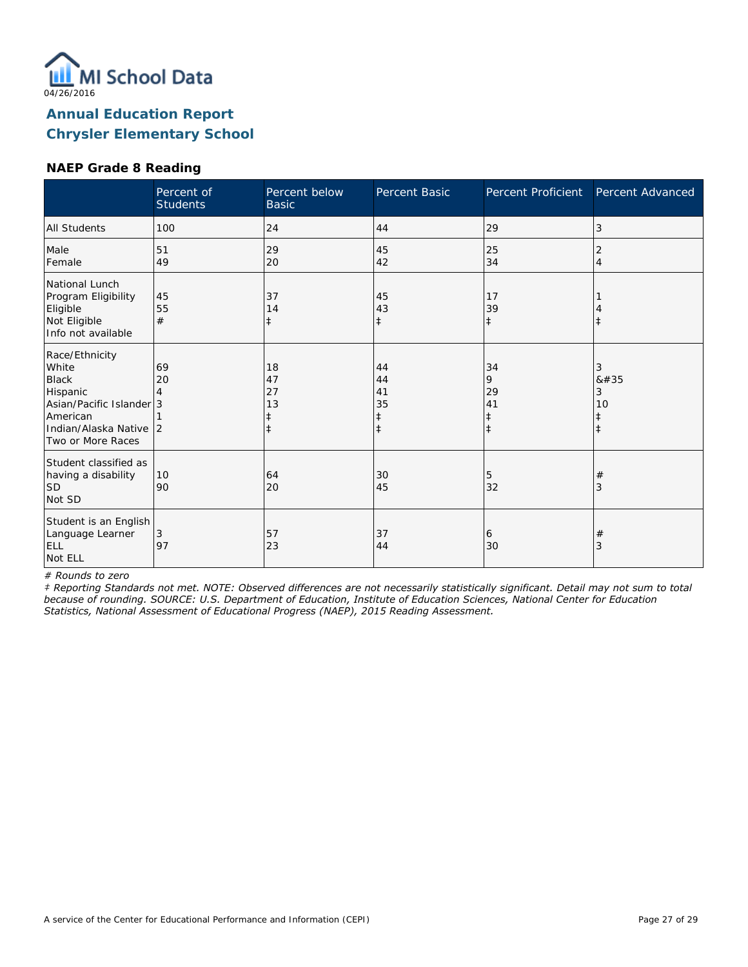

#### **NAEP Grade 8 Reading**

|                                                                                                                                            | Percent of<br><b>Students</b> | Percent below<br><b>Basic</b>    | Percent Basic                      | Percent Proficient                              | Percent Advanced                        |
|--------------------------------------------------------------------------------------------------------------------------------------------|-------------------------------|----------------------------------|------------------------------------|-------------------------------------------------|-----------------------------------------|
| All Students                                                                                                                               | 100                           | 24                               | 44                                 | 29                                              | 3                                       |
| Male<br>Female                                                                                                                             | 51<br>49                      | 29<br>20                         | 45<br>42                           | 25<br>34                                        | 2<br>$\overline{4}$                     |
| National Lunch<br>Program Eligibility<br>Eligible<br>Not Eligible<br>Info not available                                                    | 45<br>55<br>#                 | 37<br>14<br>$\ddagger$           | 45<br>43<br>$\ddagger$             | 17<br>39<br>$\ddagger$                          | $\ddagger$                              |
| Race/Ethnicity<br>White<br><b>Black</b><br>Hispanic<br>Asian/Pacific Islander 3<br>American<br>Indian/Alaska Native 2<br>Two or More Races | 69<br>20                      | 18<br>47<br>27<br>13<br>$^\ddag$ | 44<br>44<br>41<br>35<br>$\ddagger$ | 34<br>9<br>29<br>41<br>$\ddagger$<br>$\ddagger$ | 3<br>8#35<br>3<br>10<br>ŧ<br>$\ddagger$ |
| Student classified as<br>having a disability<br><b>SD</b><br>Not SD                                                                        | 10<br>90                      | 64<br>20                         | 30<br>45                           | 5<br>32                                         | $\#$<br>3                               |
| Student is an English<br>Language Learner<br><b>ELL</b><br>Not ELL                                                                         | 3<br>97                       | 57<br>23                         | 37<br>44                           | 6<br>30                                         | $\#$<br>3                               |

*# Rounds to zero*

*‡ Reporting Standards not met. NOTE: Observed differences are not necessarily statistically significant. Detail may not sum to total because of rounding. SOURCE: U.S. Department of Education, Institute of Education Sciences, National Center for Education Statistics, National Assessment of Educational Progress (NAEP), 2015 Reading Assessment.*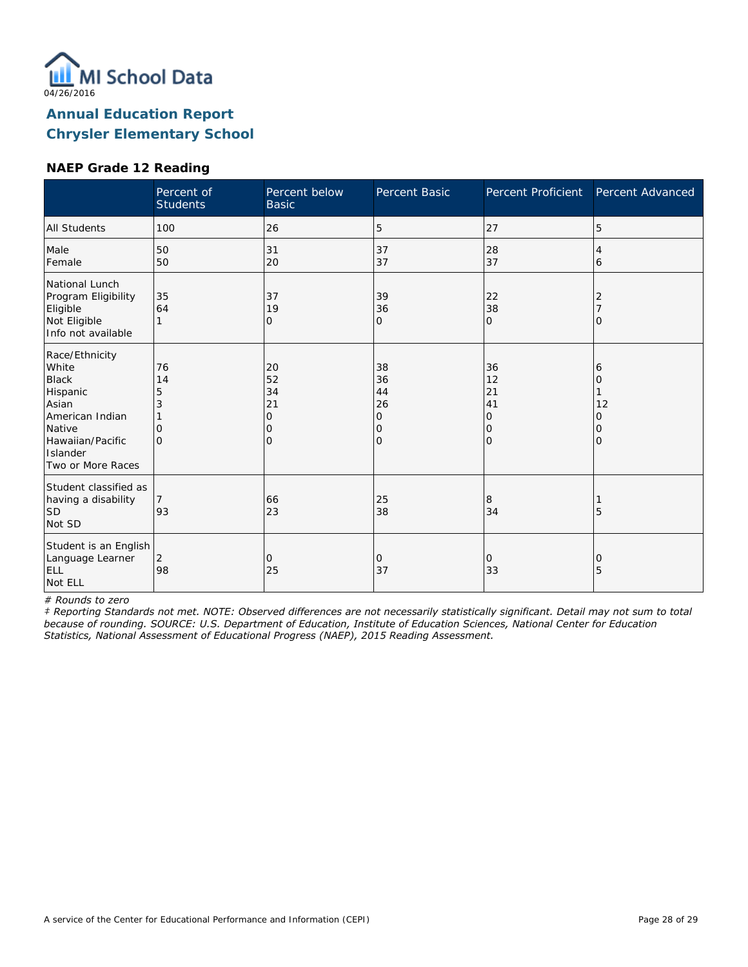

#### **NAEP Grade 12 Reading**

|                                                                                                                                                | Percent of<br><b>Students</b>              | Percent below<br><b>Basic</b>       | Percent Basic                             | Percent Proficient                                        | Percent Advanced                          |
|------------------------------------------------------------------------------------------------------------------------------------------------|--------------------------------------------|-------------------------------------|-------------------------------------------|-----------------------------------------------------------|-------------------------------------------|
| All Students                                                                                                                                   | 100                                        | 26                                  | 5                                         | 27                                                        | 5                                         |
| Male<br>Female                                                                                                                                 | 50<br>50                                   | 31<br>20                            | 37<br>37                                  | 28<br>37                                                  | 4<br>6                                    |
| National Lunch<br>Program Eligibility<br>Eligible<br>Not Eligible<br>Info not available                                                        | 35<br>64                                   | 37<br>19<br>0                       | 39<br>36<br>0                             | 22<br>38<br>$\mathbf{O}$                                  | 2<br>$\Omega$                             |
| Race/Ethnicity<br>White<br><b>Black</b><br>Hispanic<br>Asian<br>American Indian<br>Native<br>Hawaiian/Pacific<br>Islander<br>Two or More Races | 76<br>14<br>5<br>3<br>$\Omega$<br>$\Omega$ | 20<br>52<br>34<br>21<br>0<br>0<br>O | 38<br>36<br>44<br>26<br>0<br>0<br>$\circ$ | 36<br>12<br>21<br>41<br>O<br>$\mathbf{O}$<br>$\mathbf{O}$ | 6<br>$\Omega$<br>12<br>0<br>0<br>$\Omega$ |
| Student classified as<br>having a disability<br><b>SD</b><br>Not SD                                                                            | 93                                         | 66<br>23                            | 25<br>38                                  | 8<br>34                                                   | 5                                         |
| Student is an English<br>Language Learner<br>ELL<br>Not ELL                                                                                    | 2<br>98                                    | 0<br>25                             | 0<br>37                                   | 0<br>33                                                   | 0<br>5                                    |

*# Rounds to zero*

*‡ Reporting Standards not met. NOTE: Observed differences are not necessarily statistically significant. Detail may not sum to total because of rounding. SOURCE: U.S. Department of Education, Institute of Education Sciences, National Center for Education Statistics, National Assessment of Educational Progress (NAEP), 2015 Reading Assessment.*